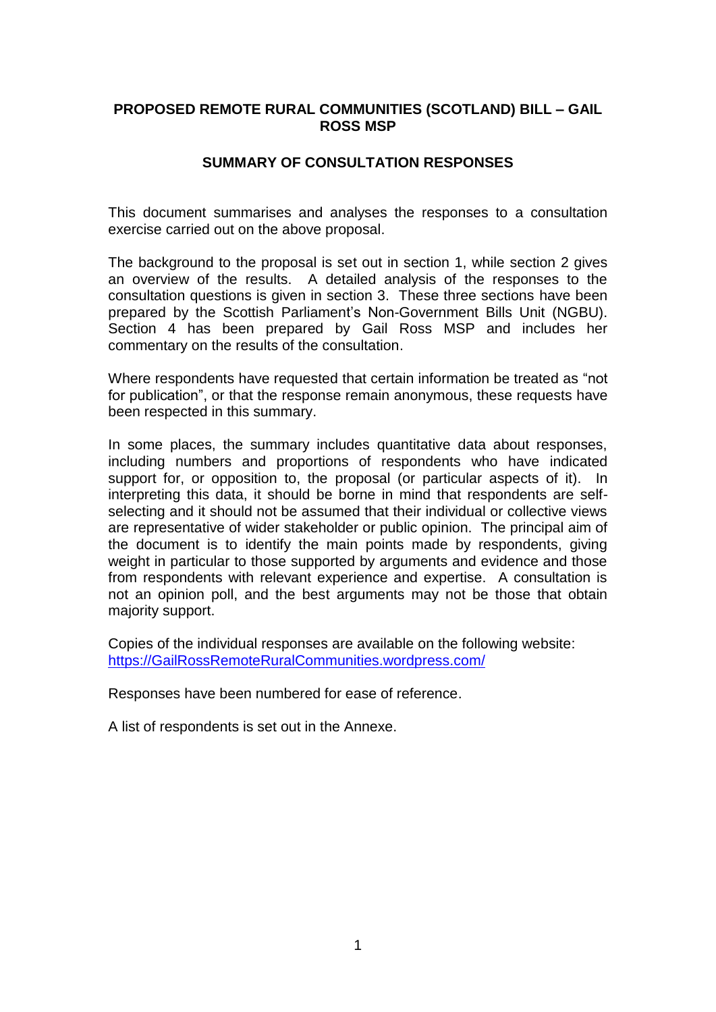## **PROPOSED REMOTE RURAL COMMUNITIES (SCOTLAND) BILL – GAIL ROSS MSP**

## **SUMMARY OF CONSULTATION RESPONSES**

This document summarises and analyses the responses to a consultation exercise carried out on the above proposal.

The background to the proposal is set out in section 1, while section 2 gives an overview of the results. A detailed analysis of the responses to the consultation questions is given in section 3. These three sections have been prepared by the Scottish Parliament's Non-Government Bills Unit (NGBU). Section 4 has been prepared by Gail Ross MSP and includes her commentary on the results of the consultation.

Where respondents have requested that certain information be treated as "not for publication", or that the response remain anonymous, these requests have been respected in this summary.

In some places, the summary includes quantitative data about responses, including numbers and proportions of respondents who have indicated support for, or opposition to, the proposal (or particular aspects of it). In interpreting this data, it should be borne in mind that respondents are selfselecting and it should not be assumed that their individual or collective views are representative of wider stakeholder or public opinion. The principal aim of the document is to identify the main points made by respondents, giving weight in particular to those supported by arguments and evidence and those from respondents with relevant experience and expertise. A consultation is not an opinion poll, and the best arguments may not be those that obtain majority support.

Copies of the individual responses are available on the following website: [https://GailRossRemoteRuralCommunities.wordpress.com/](https://gailrossremoteruralcommunities.wordpress.com/)

Responses have been numbered for ease of reference.

A list of respondents is set out in the Annexe.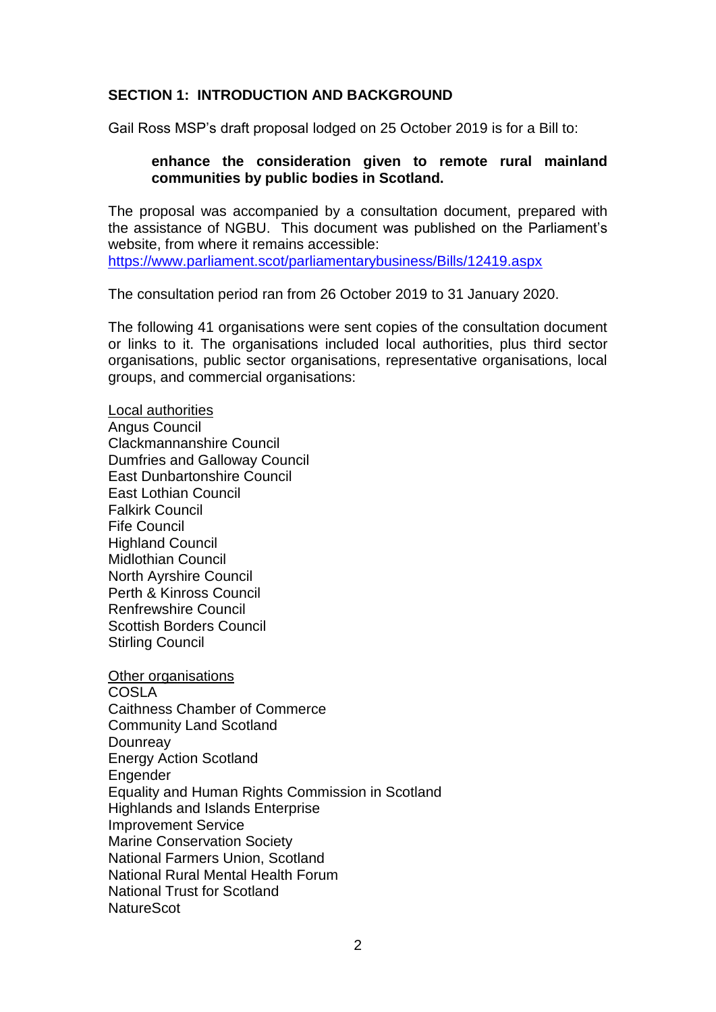## **SECTION 1: INTRODUCTION AND BACKGROUND**

Gail Ross MSP's draft proposal lodged on 25 October 2019 is for a Bill to:

#### **enhance the consideration given to remote rural mainland communities by public bodies in Scotland.**

The proposal was accompanied by a consultation document, prepared with the assistance of NGBU. This document was published on the Parliament's website, from where it remains accessible: <https://www.parliament.scot/parliamentarybusiness/Bills/12419.aspx>

The consultation period ran from 26 October 2019 to 31 January 2020.

The following 41 organisations were sent copies of the consultation document or links to it. The organisations included local authorities, plus third sector organisations, public sector organisations, representative organisations, local groups, and commercial organisations:

Local authorities Angus Council Clackmannanshire Council Dumfries and Galloway Council East Dunbartonshire Council East Lothian Council Falkirk Council Fife Council Highland Council Midlothian Council North Ayrshire Council Perth & Kinross Council Renfrewshire Council Scottish Borders Council Stirling Council

Other organisations COSLA Caithness Chamber of Commerce Community Land Scotland **Dounreay** Energy Action Scotland **Engender** Equality and Human Rights Commission in Scotland Highlands and Islands Enterprise Improvement Service Marine Conservation Society National Farmers Union, Scotland National Rural Mental Health Forum National Trust for Scotland **NatureScot**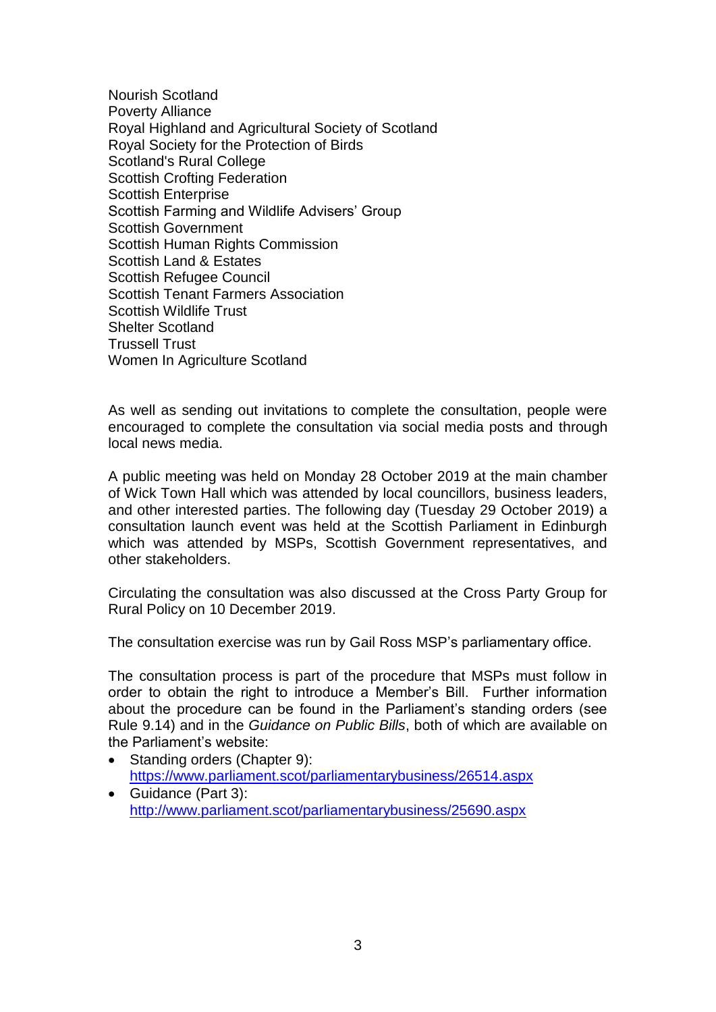Nourish Scotland Poverty Alliance Royal Highland and Agricultural Society of Scotland Royal Society for the Protection of Birds Scotland's Rural College Scottish Crofting Federation Scottish Enterprise Scottish Farming and Wildlife Advisers' Group Scottish Government Scottish Human Rights Commission Scottish Land & Estates Scottish Refugee Council Scottish Tenant Farmers Association Scottish Wildlife Trust Shelter Scotland Trussell Trust Women In Agriculture Scotland

As well as sending out invitations to complete the consultation, people were encouraged to complete the consultation via social media posts and through local news media.

A public meeting was held on Monday 28 October 2019 at the main chamber of Wick Town Hall which was attended by local councillors, business leaders, and other interested parties. The following day (Tuesday 29 October 2019) a consultation launch event was held at the Scottish Parliament in Edinburgh which was attended by MSPs, Scottish Government representatives, and other stakeholders.

Circulating the consultation was also discussed at the Cross Party Group for Rural Policy on 10 December 2019.

The consultation exercise was run by Gail Ross MSP's parliamentary office.

The consultation process is part of the procedure that MSPs must follow in order to obtain the right to introduce a Member's Bill. Further information about the procedure can be found in the Parliament's standing orders (see Rule 9.14) and in the *Guidance on Public Bills*, both of which are available on the Parliament's website:

- Standing orders (Chapter 9): <https://www.parliament.scot/parliamentarybusiness/26514.aspx>
- Guidance (Part 3): <http://www.parliament.scot/parliamentarybusiness/25690.aspx>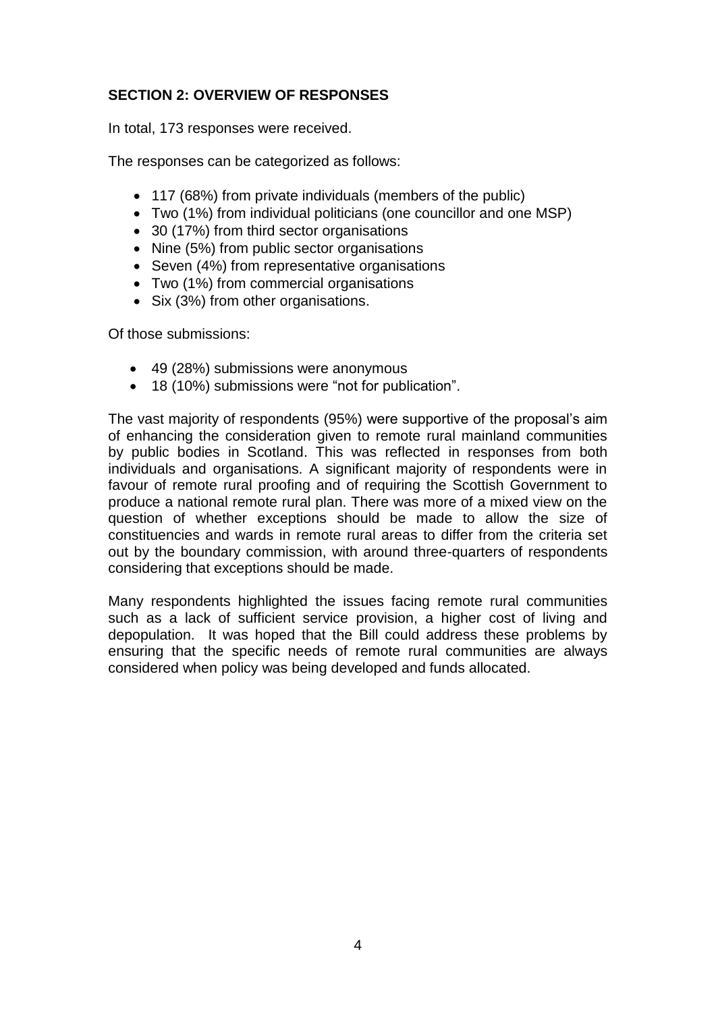# **SECTION 2: OVERVIEW OF RESPONSES**

In total, 173 responses were received.

The responses can be categorized as follows:

- 117 (68%) from private individuals (members of the public)
- Two (1%) from individual politicians (one councillor and one MSP)
- 30 (17%) from third sector organisations
- Nine (5%) from public sector organisations
- Seven (4%) from representative organisations
- Two (1%) from commercial organisations
- Six (3%) from other organisations.

Of those submissions:

- 49 (28%) submissions were anonymous
- 18 (10%) submissions were "not for publication".

The vast majority of respondents (95%) were supportive of the proposal's aim of enhancing the consideration given to remote rural mainland communities by public bodies in Scotland. This was reflected in responses from both individuals and organisations. A significant majority of respondents were in favour of remote rural proofing and of requiring the Scottish Government to produce a national remote rural plan. There was more of a mixed view on the question of whether exceptions should be made to allow the size of constituencies and wards in remote rural areas to differ from the criteria set out by the boundary commission, with around three-quarters of respondents considering that exceptions should be made.

Many respondents highlighted the issues facing remote rural communities such as a lack of sufficient service provision, a higher cost of living and depopulation. It was hoped that the Bill could address these problems by ensuring that the specific needs of remote rural communities are always considered when policy was being developed and funds allocated.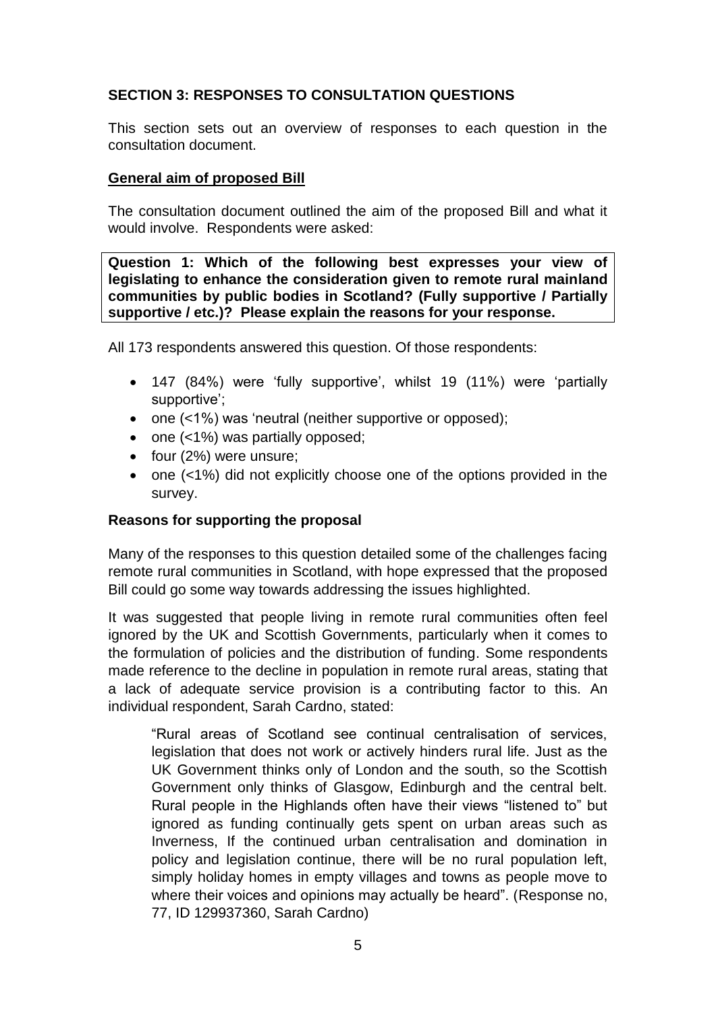## **SECTION 3: RESPONSES TO CONSULTATION QUESTIONS**

This section sets out an overview of responses to each question in the consultation document.

## **General aim of proposed Bill**

The consultation document outlined the aim of the proposed Bill and what it would involve. Respondents were asked:

**Question 1: Which of the following best expresses your view of legislating to enhance the consideration given to remote rural mainland communities by public bodies in Scotland? (Fully supportive / Partially supportive / etc.)? Please explain the reasons for your response.**

All 173 respondents answered this question. Of those respondents:

- 147 (84%) were 'fully supportive', whilst 19 (11%) were 'partially supportive';
- one (<1%) was 'neutral (neither supportive or opposed);
- one (<1%) was partially opposed;
- four (2%) were unsure;
- one (<1%) did not explicitly choose one of the options provided in the survey.

## **Reasons for supporting the proposal**

Many of the responses to this question detailed some of the challenges facing remote rural communities in Scotland, with hope expressed that the proposed Bill could go some way towards addressing the issues highlighted.

It was suggested that people living in remote rural communities often feel ignored by the UK and Scottish Governments, particularly when it comes to the formulation of policies and the distribution of funding. Some respondents made reference to the decline in population in remote rural areas, stating that a lack of adequate service provision is a contributing factor to this. An individual respondent, Sarah Cardno, stated:

"Rural areas of Scotland see continual centralisation of services, legislation that does not work or actively hinders rural life. Just as the UK Government thinks only of London and the south, so the Scottish Government only thinks of Glasgow, Edinburgh and the central belt. Rural people in the Highlands often have their views "listened to" but ignored as funding continually gets spent on urban areas such as Inverness, If the continued urban centralisation and domination in policy and legislation continue, there will be no rural population left, simply holiday homes in empty villages and towns as people move to where their voices and opinions may actually be heard". (Response no, 77, ID 129937360, Sarah Cardno)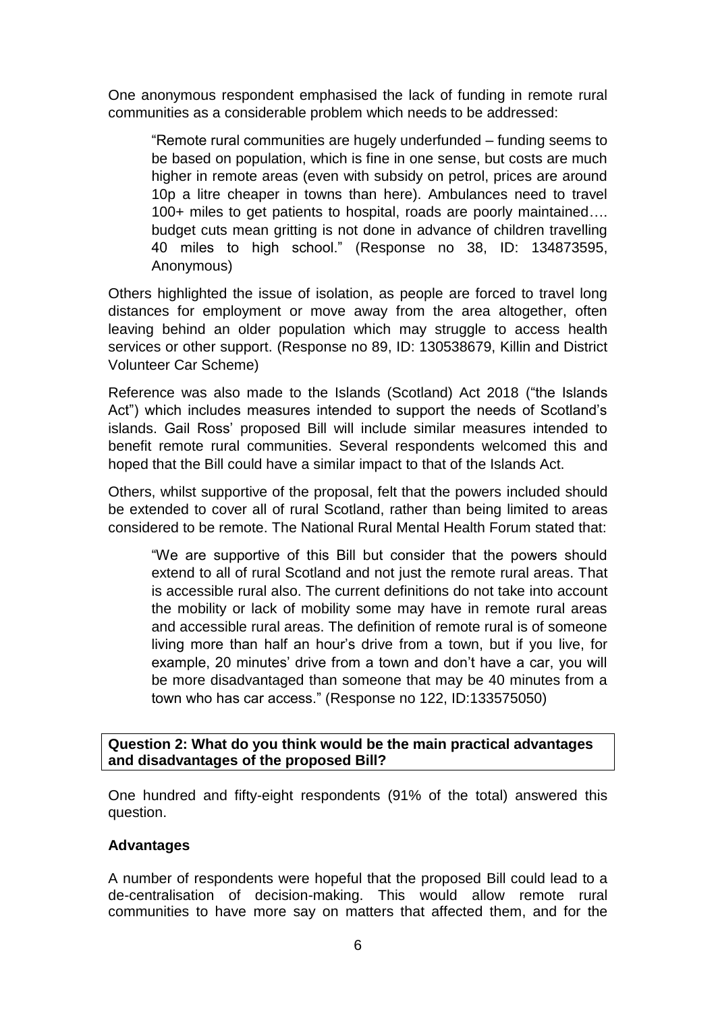One anonymous respondent emphasised the lack of funding in remote rural communities as a considerable problem which needs to be addressed:

"Remote rural communities are hugely underfunded – funding seems to be based on population, which is fine in one sense, but costs are much higher in remote areas (even with subsidy on petrol, prices are around 10p a litre cheaper in towns than here). Ambulances need to travel 100+ miles to get patients to hospital, roads are poorly maintained…. budget cuts mean gritting is not done in advance of children travelling 40 miles to high school." (Response no 38, ID: 134873595, Anonymous)

Others highlighted the issue of isolation, as people are forced to travel long distances for employment or move away from the area altogether, often leaving behind an older population which may struggle to access health services or other support. (Response no 89, ID: 130538679, Killin and District Volunteer Car Scheme)

Reference was also made to the Islands (Scotland) Act 2018 ("the Islands Act") which includes measures intended to support the needs of Scotland's islands. Gail Ross' proposed Bill will include similar measures intended to benefit remote rural communities. Several respondents welcomed this and hoped that the Bill could have a similar impact to that of the Islands Act.

Others, whilst supportive of the proposal, felt that the powers included should be extended to cover all of rural Scotland, rather than being limited to areas considered to be remote. The National Rural Mental Health Forum stated that:

"We are supportive of this Bill but consider that the powers should extend to all of rural Scotland and not just the remote rural areas. That is accessible rural also. The current definitions do not take into account the mobility or lack of mobility some may have in remote rural areas and accessible rural areas. The definition of remote rural is of someone living more than half an hour's drive from a town, but if you live, for example, 20 minutes' drive from a town and don't have a car, you will be more disadvantaged than someone that may be 40 minutes from a town who has car access." (Response no 122, ID:133575050)

**Question 2: What do you think would be the main practical advantages and disadvantages of the proposed Bill?**

One hundred and fifty-eight respondents (91% of the total) answered this question.

## **Advantages**

A number of respondents were hopeful that the proposed Bill could lead to a de-centralisation of decision-making. This would allow remote rural communities to have more say on matters that affected them, and for the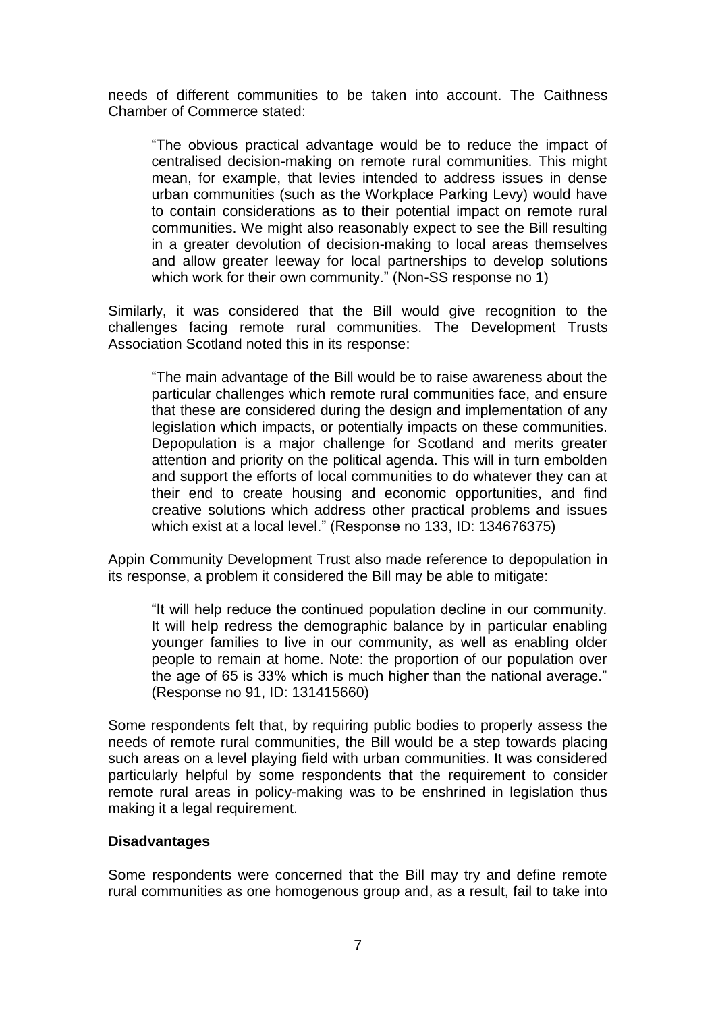needs of different communities to be taken into account. The Caithness Chamber of Commerce stated:

"The obvious practical advantage would be to reduce the impact of centralised decision-making on remote rural communities. This might mean, for example, that levies intended to address issues in dense urban communities (such as the Workplace Parking Levy) would have to contain considerations as to their potential impact on remote rural communities. We might also reasonably expect to see the Bill resulting in a greater devolution of decision-making to local areas themselves and allow greater leeway for local partnerships to develop solutions which work for their own community." (Non-SS response no 1)

Similarly, it was considered that the Bill would give recognition to the challenges facing remote rural communities. The Development Trusts Association Scotland noted this in its response:

"The main advantage of the Bill would be to raise awareness about the particular challenges which remote rural communities face, and ensure that these are considered during the design and implementation of any legislation which impacts, or potentially impacts on these communities. Depopulation is a major challenge for Scotland and merits greater attention and priority on the political agenda. This will in turn embolden and support the efforts of local communities to do whatever they can at their end to create housing and economic opportunities, and find creative solutions which address other practical problems and issues which exist at a local level." (Response no 133, ID: 134676375)

Appin Community Development Trust also made reference to depopulation in its response, a problem it considered the Bill may be able to mitigate:

"It will help reduce the continued population decline in our community. It will help redress the demographic balance by in particular enabling younger families to live in our community, as well as enabling older people to remain at home. Note: the proportion of our population over the age of 65 is 33% which is much higher than the national average." (Response no 91, ID: 131415660)

Some respondents felt that, by requiring public bodies to properly assess the needs of remote rural communities, the Bill would be a step towards placing such areas on a level playing field with urban communities. It was considered particularly helpful by some respondents that the requirement to consider remote rural areas in policy-making was to be enshrined in legislation thus making it a legal requirement.

## **Disadvantages**

Some respondents were concerned that the Bill may try and define remote rural communities as one homogenous group and, as a result, fail to take into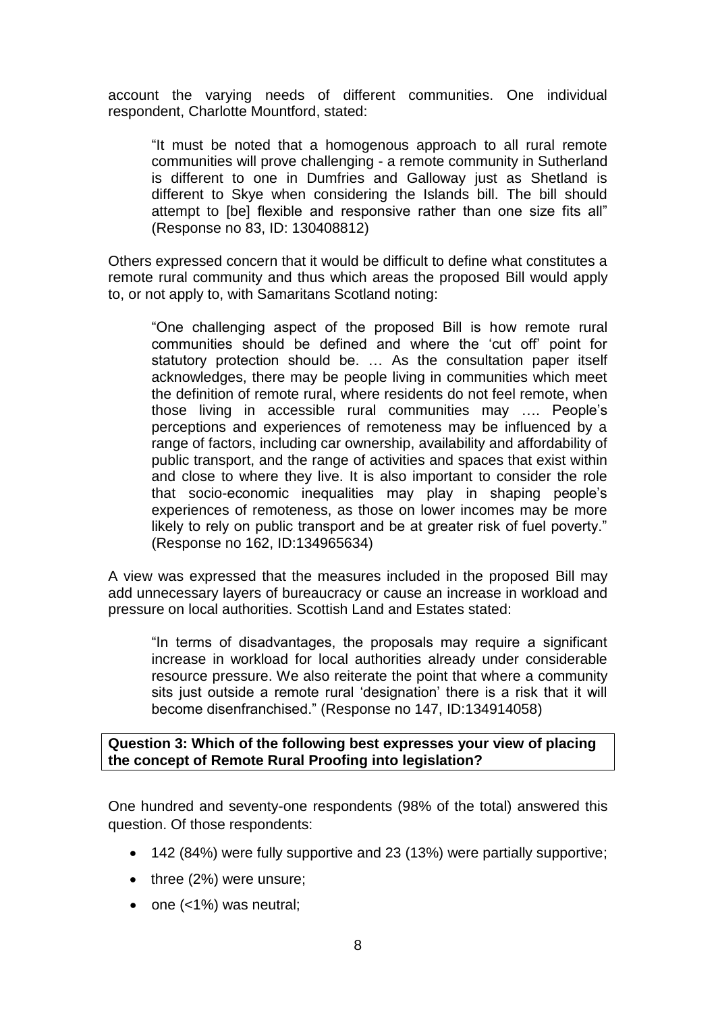account the varying needs of different communities. One individual respondent, Charlotte Mountford, stated:

"It must be noted that a homogenous approach to all rural remote communities will prove challenging - a remote community in Sutherland is different to one in Dumfries and Galloway just as Shetland is different to Skye when considering the Islands bill. The bill should attempt to [be] flexible and responsive rather than one size fits all" (Response no 83, ID: 130408812)

Others expressed concern that it would be difficult to define what constitutes a remote rural community and thus which areas the proposed Bill would apply to, or not apply to, with Samaritans Scotland noting:

"One challenging aspect of the proposed Bill is how remote rural communities should be defined and where the 'cut off' point for statutory protection should be. … As the consultation paper itself acknowledges, there may be people living in communities which meet the definition of remote rural, where residents do not feel remote, when those living in accessible rural communities may …. People's perceptions and experiences of remoteness may be influenced by a range of factors, including car ownership, availability and affordability of public transport, and the range of activities and spaces that exist within and close to where they live. It is also important to consider the role that socio-economic inequalities may play in shaping people's experiences of remoteness, as those on lower incomes may be more likely to rely on public transport and be at greater risk of fuel poverty." (Response no 162, ID:134965634)

A view was expressed that the measures included in the proposed Bill may add unnecessary layers of bureaucracy or cause an increase in workload and pressure on local authorities. Scottish Land and Estates stated:

"In terms of disadvantages, the proposals may require a significant increase in workload for local authorities already under considerable resource pressure. We also reiterate the point that where a community sits just outside a remote rural 'designation' there is a risk that it will become disenfranchised." (Response no 147, ID:134914058)

## **Question 3: Which of the following best expresses your view of placing the concept of Remote Rural Proofing into legislation?**

One hundred and seventy-one respondents (98% of the total) answered this question. Of those respondents:

- 142 (84%) were fully supportive and 23 (13%) were partially supportive;
- three (2%) were unsure;
- one (<1%) was neutral;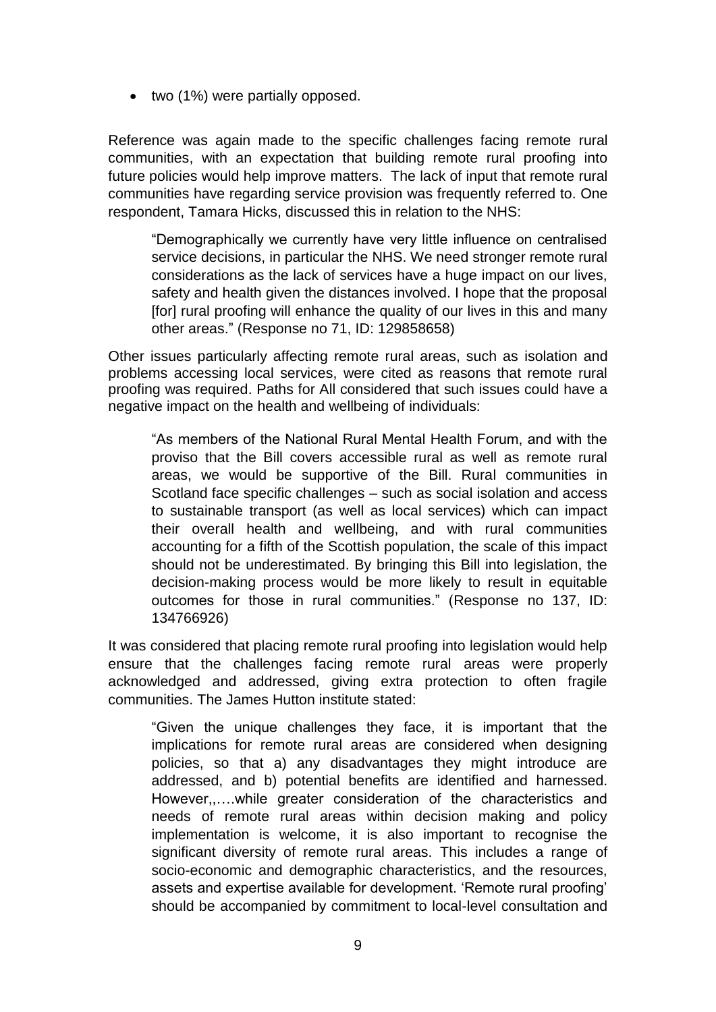• two (1%) were partially opposed.

Reference was again made to the specific challenges facing remote rural communities, with an expectation that building remote rural proofing into future policies would help improve matters. The lack of input that remote rural communities have regarding service provision was frequently referred to. One respondent, Tamara Hicks, discussed this in relation to the NHS:

"Demographically we currently have very little influence on centralised service decisions, in particular the NHS. We need stronger remote rural considerations as the lack of services have a huge impact on our lives, safety and health given the distances involved. I hope that the proposal [for] rural proofing will enhance the quality of our lives in this and many other areas." (Response no 71, ID: 129858658)

Other issues particularly affecting remote rural areas, such as isolation and problems accessing local services, were cited as reasons that remote rural proofing was required. Paths for All considered that such issues could have a negative impact on the health and wellbeing of individuals:

"As members of the National Rural Mental Health Forum, and with the proviso that the Bill covers accessible rural as well as remote rural areas, we would be supportive of the Bill. Rural communities in Scotland face specific challenges – such as social isolation and access to sustainable transport (as well as local services) which can impact their overall health and wellbeing, and with rural communities accounting for a fifth of the Scottish population, the scale of this impact should not be underestimated. By bringing this Bill into legislation, the decision-making process would be more likely to result in equitable outcomes for those in rural communities." (Response no 137, ID: 134766926)

It was considered that placing remote rural proofing into legislation would help ensure that the challenges facing remote rural areas were properly acknowledged and addressed, giving extra protection to often fragile communities. The James Hutton institute stated:

"Given the unique challenges they face, it is important that the implications for remote rural areas are considered when designing policies, so that a) any disadvantages they might introduce are addressed, and b) potential benefits are identified and harnessed. However,,….while greater consideration of the characteristics and needs of remote rural areas within decision making and policy implementation is welcome, it is also important to recognise the significant diversity of remote rural areas. This includes a range of socio-economic and demographic characteristics, and the resources, assets and expertise available for development. 'Remote rural proofing' should be accompanied by commitment to local-level consultation and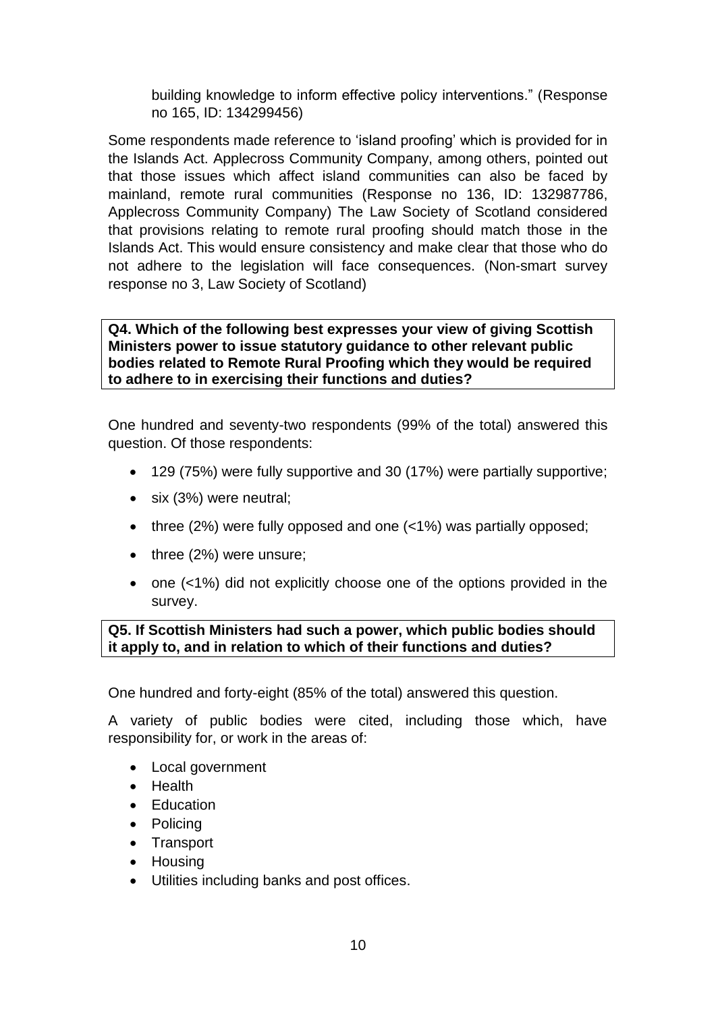building knowledge to inform effective policy interventions." (Response no 165, ID: 134299456)

Some respondents made reference to 'island proofing' which is provided for in the Islands Act. Applecross Community Company, among others, pointed out that those issues which affect island communities can also be faced by mainland, remote rural communities (Response no 136, ID: 132987786, Applecross Community Company) The Law Society of Scotland considered that provisions relating to remote rural proofing should match those in the Islands Act. This would ensure consistency and make clear that those who do not adhere to the legislation will face consequences. (Non-smart survey response no 3, Law Society of Scotland)

**Q4. Which of the following best expresses your view of giving Scottish Ministers power to issue statutory guidance to other relevant public bodies related to Remote Rural Proofing which they would be required to adhere to in exercising their functions and duties?**

One hundred and seventy-two respondents (99% of the total) answered this question. Of those respondents:

- 129 (75%) were fully supportive and 30 (17%) were partially supportive;
- six (3%) were neutral;
- three (2%) were fully opposed and one (<1%) was partially opposed;
- three (2%) were unsure;
- one (<1%) did not explicitly choose one of the options provided in the survey.

## **Q5. If Scottish Ministers had such a power, which public bodies should it apply to, and in relation to which of their functions and duties?**

One hundred and forty-eight (85% of the total) answered this question.

A variety of public bodies were cited, including those which, have responsibility for, or work in the areas of:

- Local government
- Health
- Education
- Policing
- Transport
- Housing
- Utilities including banks and post offices.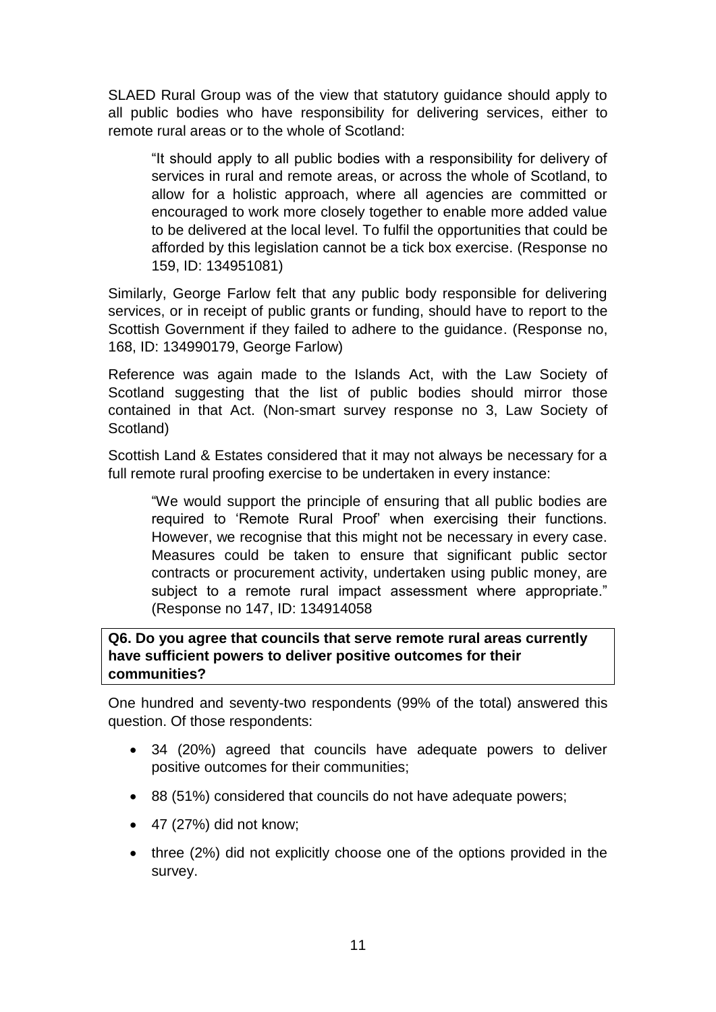SLAED Rural Group was of the view that statutory guidance should apply to all public bodies who have responsibility for delivering services, either to remote rural areas or to the whole of Scotland:

"It should apply to all public bodies with a responsibility for delivery of services in rural and remote areas, or across the whole of Scotland, to allow for a holistic approach, where all agencies are committed or encouraged to work more closely together to enable more added value to be delivered at the local level. To fulfil the opportunities that could be afforded by this legislation cannot be a tick box exercise. (Response no 159, ID: 134951081)

Similarly, George Farlow felt that any public body responsible for delivering services, or in receipt of public grants or funding, should have to report to the Scottish Government if they failed to adhere to the guidance. (Response no, 168, ID: 134990179, George Farlow)

Reference was again made to the Islands Act, with the Law Society of Scotland suggesting that the list of public bodies should mirror those contained in that Act. (Non-smart survey response no 3, Law Society of Scotland)

Scottish Land & Estates considered that it may not always be necessary for a full remote rural proofing exercise to be undertaken in every instance:

"We would support the principle of ensuring that all public bodies are required to 'Remote Rural Proof' when exercising their functions. However, we recognise that this might not be necessary in every case. Measures could be taken to ensure that significant public sector contracts or procurement activity, undertaken using public money, are subject to a remote rural impact assessment where appropriate." (Response no 147, ID: 134914058

**Q6. Do you agree that councils that serve remote rural areas currently have sufficient powers to deliver positive outcomes for their communities?**

One hundred and seventy-two respondents (99% of the total) answered this question. Of those respondents:

- 34 (20%) agreed that councils have adequate powers to deliver positive outcomes for their communities;
- 88 (51%) considered that councils do not have adequate powers;
- $\bullet$  47 (27%) did not know:
- three (2%) did not explicitly choose one of the options provided in the survey.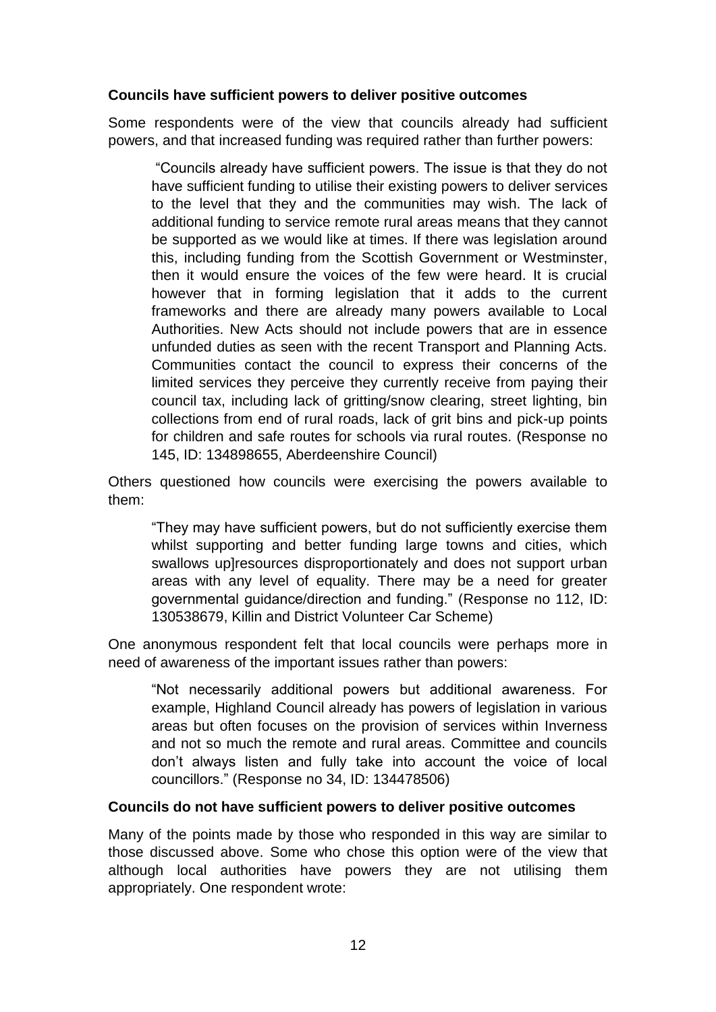## **Councils have sufficient powers to deliver positive outcomes**

Some respondents were of the view that councils already had sufficient powers, and that increased funding was required rather than further powers:

"Councils already have sufficient powers. The issue is that they do not have sufficient funding to utilise their existing powers to deliver services to the level that they and the communities may wish. The lack of additional funding to service remote rural areas means that they cannot be supported as we would like at times. If there was legislation around this, including funding from the Scottish Government or Westminster, then it would ensure the voices of the few were heard. It is crucial however that in forming legislation that it adds to the current frameworks and there are already many powers available to Local Authorities. New Acts should not include powers that are in essence unfunded duties as seen with the recent Transport and Planning Acts. Communities contact the council to express their concerns of the limited services they perceive they currently receive from paying their council tax, including lack of gritting/snow clearing, street lighting, bin collections from end of rural roads, lack of grit bins and pick-up points for children and safe routes for schools via rural routes. (Response no 145, ID: 134898655, Aberdeenshire Council)

Others questioned how councils were exercising the powers available to them:

"They may have sufficient powers, but do not sufficiently exercise them whilst supporting and better funding large towns and cities, which swallows up]resources disproportionately and does not support urban areas with any level of equality. There may be a need for greater governmental guidance/direction and funding." (Response no 112, ID: 130538679, Killin and District Volunteer Car Scheme)

One anonymous respondent felt that local councils were perhaps more in need of awareness of the important issues rather than powers:

"Not necessarily additional powers but additional awareness. For example, Highland Council already has powers of legislation in various areas but often focuses on the provision of services within Inverness and not so much the remote and rural areas. Committee and councils don't always listen and fully take into account the voice of local councillors." (Response no 34, ID: 134478506)

## **Councils do not have sufficient powers to deliver positive outcomes**

Many of the points made by those who responded in this way are similar to those discussed above. Some who chose this option were of the view that although local authorities have powers they are not utilising them appropriately. One respondent wrote: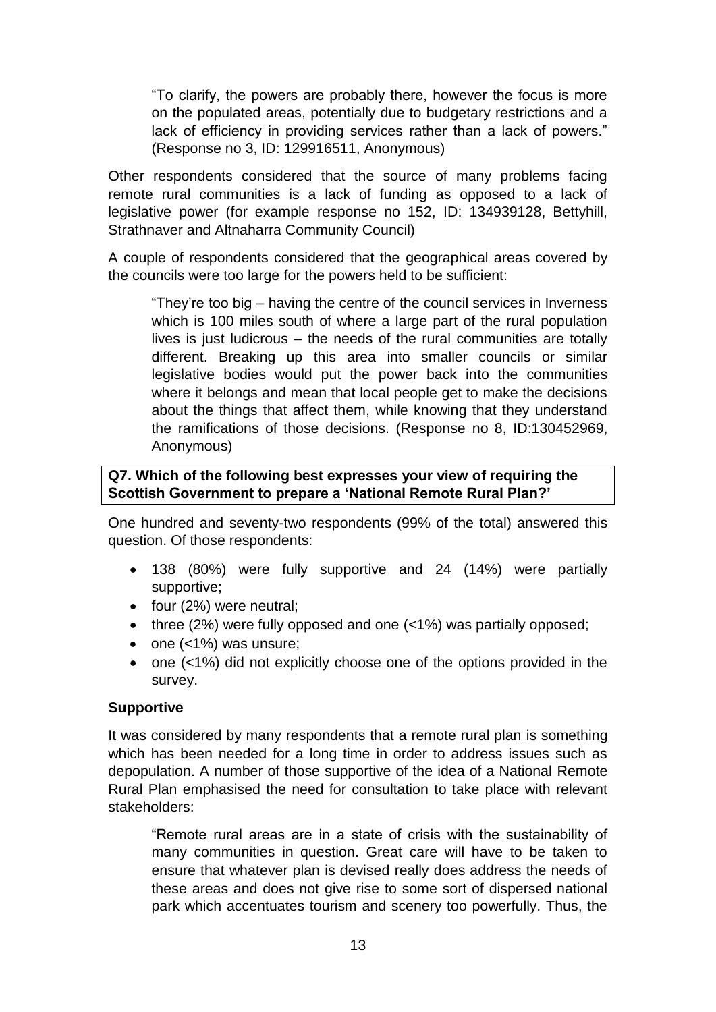"To clarify, the powers are probably there, however the focus is more on the populated areas, potentially due to budgetary restrictions and a lack of efficiency in providing services rather than a lack of powers." (Response no 3, ID: 129916511, Anonymous)

Other respondents considered that the source of many problems facing remote rural communities is a lack of funding as opposed to a lack of legislative power (for example response no 152, ID: 134939128, Bettyhill, Strathnaver and Altnaharra Community Council)

A couple of respondents considered that the geographical areas covered by the councils were too large for the powers held to be sufficient:

"They're too big – having the centre of the council services in Inverness which is 100 miles south of where a large part of the rural population lives is just ludicrous – the needs of the rural communities are totally different. Breaking up this area into smaller councils or similar legislative bodies would put the power back into the communities where it belongs and mean that local people get to make the decisions about the things that affect them, while knowing that they understand the ramifications of those decisions. (Response no 8, ID:130452969, Anonymous)

## **Q7. Which of the following best expresses your view of requiring the Scottish Government to prepare a 'National Remote Rural Plan?'**

One hundred and seventy-two respondents (99% of the total) answered this question. Of those respondents:

- 138 (80%) were fully supportive and 24 (14%) were partially supportive;
- four (2%) were neutral;
- three (2%) were fully opposed and one (<1%) was partially opposed;
- one (<1%) was unsure;
- one (<1%) did not explicitly choose one of the options provided in the survey.

## **Supportive**

It was considered by many respondents that a remote rural plan is something which has been needed for a long time in order to address issues such as depopulation. A number of those supportive of the idea of a National Remote Rural Plan emphasised the need for consultation to take place with relevant stakeholders:

"Remote rural areas are in a state of crisis with the sustainability of many communities in question. Great care will have to be taken to ensure that whatever plan is devised really does address the needs of these areas and does not give rise to some sort of dispersed national park which accentuates tourism and scenery too powerfully. Thus, the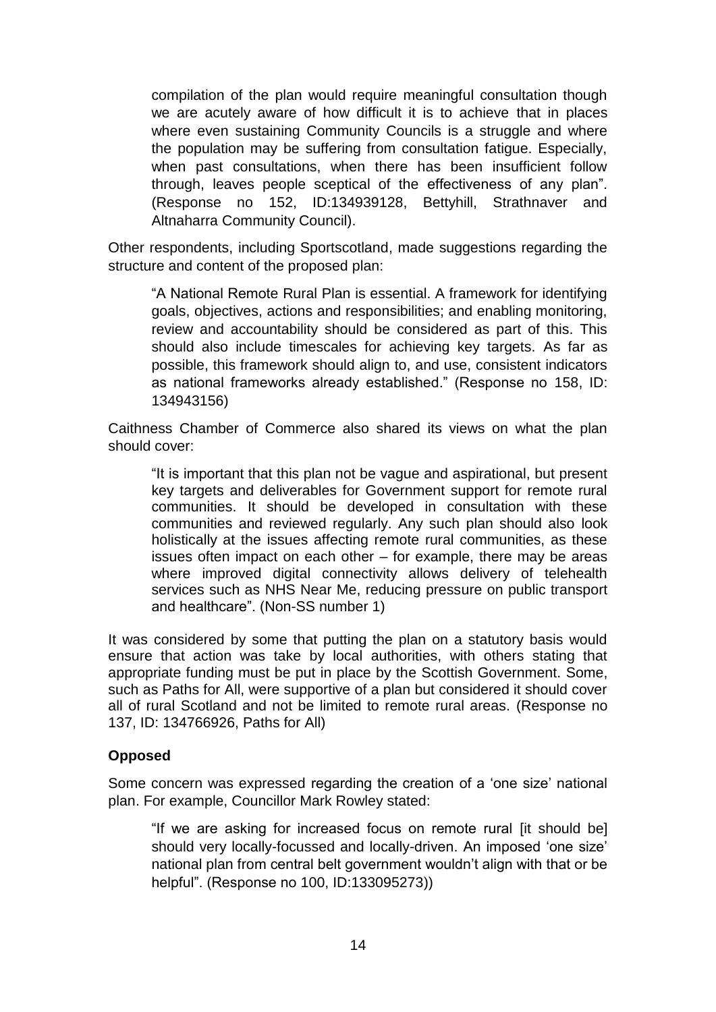compilation of the plan would require meaningful consultation though we are acutely aware of how difficult it is to achieve that in places where even sustaining Community Councils is a struggle and where the population may be suffering from consultation fatigue. Especially, when past consultations, when there has been insufficient follow through, leaves people sceptical of the effectiveness of any plan". (Response no 152, ID:134939128, Bettyhill, Strathnaver and Altnaharra Community Council).

Other respondents, including Sportscotland, made suggestions regarding the structure and content of the proposed plan:

"A National Remote Rural Plan is essential. A framework for identifying goals, objectives, actions and responsibilities; and enabling monitoring, review and accountability should be considered as part of this. This should also include timescales for achieving key targets. As far as possible, this framework should align to, and use, consistent indicators as national frameworks already established." (Response no 158, ID: 134943156)

Caithness Chamber of Commerce also shared its views on what the plan should cover:

"It is important that this plan not be vague and aspirational, but present key targets and deliverables for Government support for remote rural communities. It should be developed in consultation with these communities and reviewed regularly. Any such plan should also look holistically at the issues affecting remote rural communities, as these issues often impact on each other – for example, there may be areas where improved digital connectivity allows delivery of telehealth services such as NHS Near Me, reducing pressure on public transport and healthcare". (Non-SS number 1)

It was considered by some that putting the plan on a statutory basis would ensure that action was take by local authorities, with others stating that appropriate funding must be put in place by the Scottish Government. Some, such as Paths for All, were supportive of a plan but considered it should cover all of rural Scotland and not be limited to remote rural areas. (Response no 137, ID: 134766926, Paths for All)

## **Opposed**

Some concern was expressed regarding the creation of a 'one size' national plan. For example, Councillor Mark Rowley stated:

"If we are asking for increased focus on remote rural [it should be] should very locally-focussed and locally-driven. An imposed 'one size' national plan from central belt government wouldn't align with that or be helpful". (Response no 100, ID:133095273))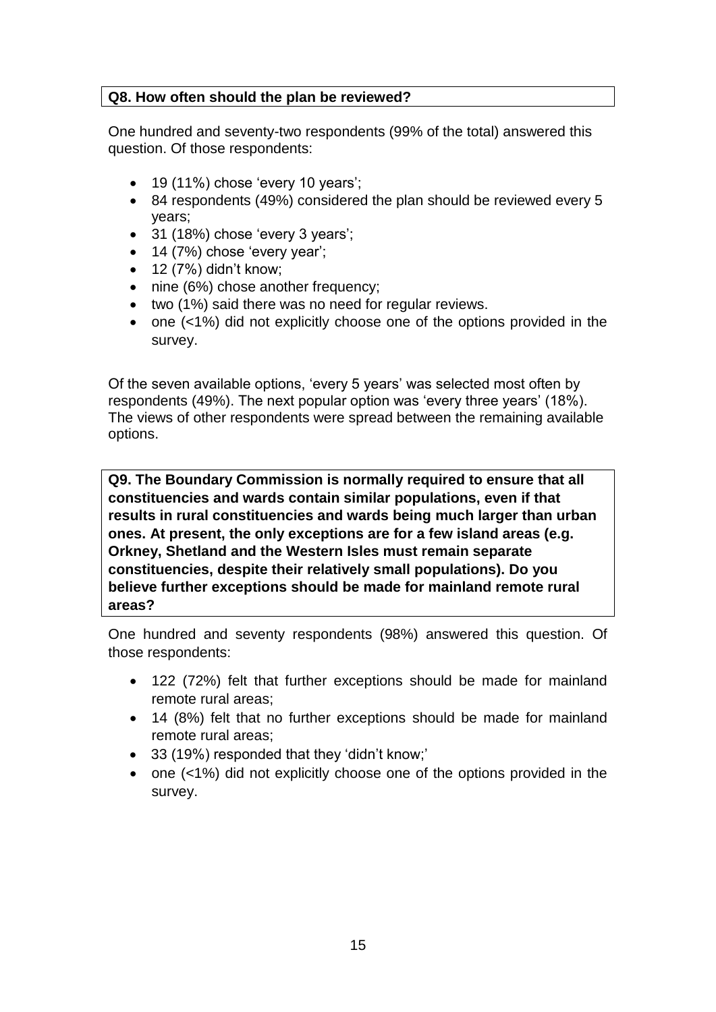## **Q8. How often should the plan be reviewed?**

One hundred and seventy-two respondents (99% of the total) answered this question. Of those respondents:

- $\bullet$  19 (11%) chose 'every 10 years';
- 84 respondents (49%) considered the plan should be reviewed every 5 years;
- 31 (18%) chose 'every 3 years';
- 14 (7%) chose 'every year';
- $\bullet$  12 (7%) didn't know;
- nine (6%) chose another frequency;
- two (1%) said there was no need for regular reviews.
- one (<1%) did not explicitly choose one of the options provided in the survey.

Of the seven available options, 'every 5 years' was selected most often by respondents (49%). The next popular option was 'every three years' (18%). The views of other respondents were spread between the remaining available options.

**Q9. The Boundary Commission is normally required to ensure that all constituencies and wards contain similar populations, even if that results in rural constituencies and wards being much larger than urban ones. At present, the only exceptions are for a few island areas (e.g. Orkney, Shetland and the Western Isles must remain separate constituencies, despite their relatively small populations). Do you believe further exceptions should be made for mainland remote rural areas?**

One hundred and seventy respondents (98%) answered this question. Of those respondents:

- 122 (72%) felt that further exceptions should be made for mainland remote rural areas;
- 14 (8%) felt that no further exceptions should be made for mainland remote rural areas;
- 33 (19%) responded that they 'didn't know;'
- one (<1%) did not explicitly choose one of the options provided in the survey.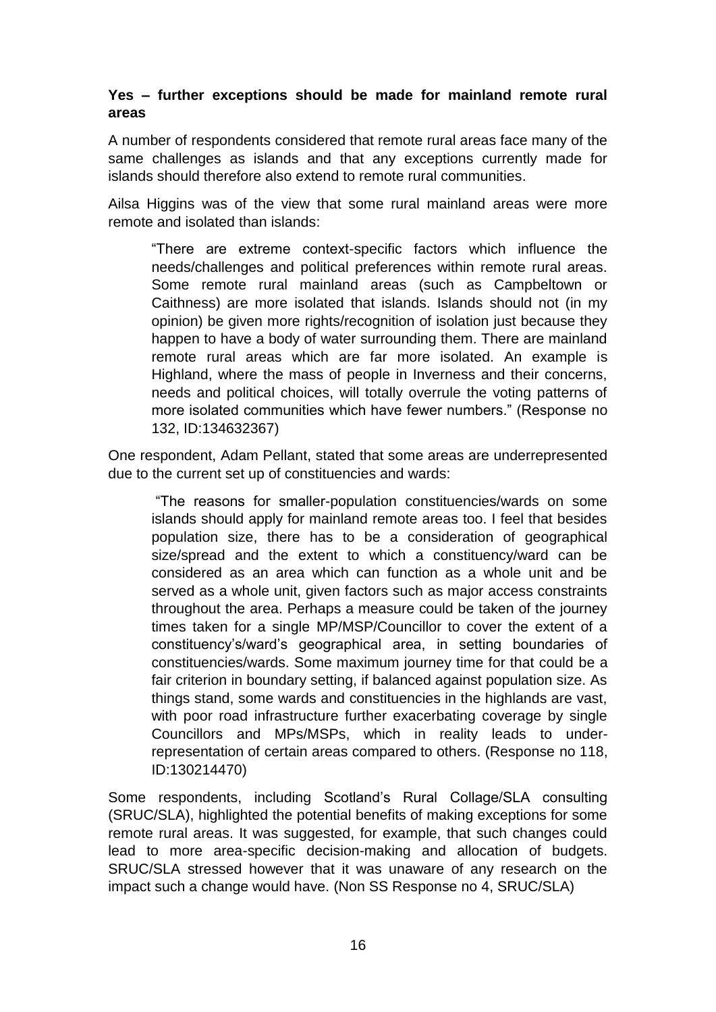## **Yes – further exceptions should be made for mainland remote rural areas**

A number of respondents considered that remote rural areas face many of the same challenges as islands and that any exceptions currently made for islands should therefore also extend to remote rural communities.

Ailsa Higgins was of the view that some rural mainland areas were more remote and isolated than islands:

"There are extreme context-specific factors which influence the needs/challenges and political preferences within remote rural areas. Some remote rural mainland areas (such as Campbeltown or Caithness) are more isolated that islands. Islands should not (in my opinion) be given more rights/recognition of isolation just because they happen to have a body of water surrounding them. There are mainland remote rural areas which are far more isolated. An example is Highland, where the mass of people in Inverness and their concerns, needs and political choices, will totally overrule the voting patterns of more isolated communities which have fewer numbers." (Response no 132, ID:134632367)

One respondent, Adam Pellant, stated that some areas are underrepresented due to the current set up of constituencies and wards:

"The reasons for smaller-population constituencies/wards on some islands should apply for mainland remote areas too. I feel that besides population size, there has to be a consideration of geographical size/spread and the extent to which a constituency/ward can be considered as an area which can function as a whole unit and be served as a whole unit, given factors such as major access constraints throughout the area. Perhaps a measure could be taken of the journey times taken for a single MP/MSP/Councillor to cover the extent of a constituency's/ward's geographical area, in setting boundaries of constituencies/wards. Some maximum journey time for that could be a fair criterion in boundary setting, if balanced against population size. As things stand, some wards and constituencies in the highlands are vast, with poor road infrastructure further exacerbating coverage by single Councillors and MPs/MSPs, which in reality leads to underrepresentation of certain areas compared to others. (Response no 118, ID:130214470)

Some respondents, including Scotland's Rural Collage/SLA consulting (SRUC/SLA), highlighted the potential benefits of making exceptions for some remote rural areas. It was suggested, for example, that such changes could lead to more area-specific decision-making and allocation of budgets. SRUC/SLA stressed however that it was unaware of any research on the impact such a change would have. (Non SS Response no 4, SRUC/SLA)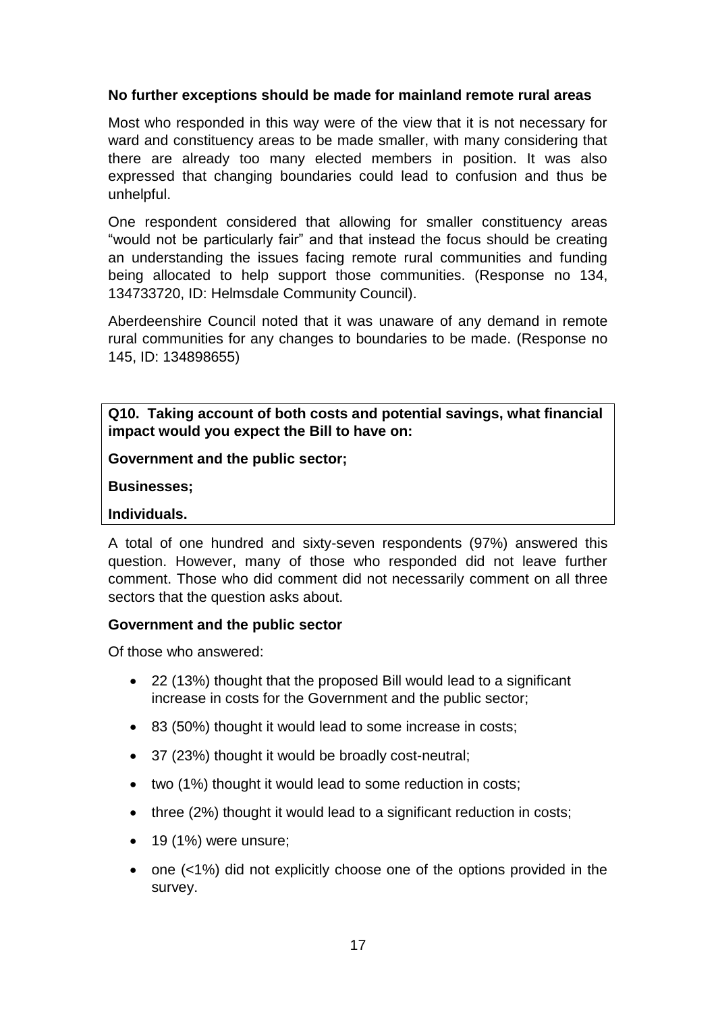## **No further exceptions should be made for mainland remote rural areas**

Most who responded in this way were of the view that it is not necessary for ward and constituency areas to be made smaller, with many considering that there are already too many elected members in position. It was also expressed that changing boundaries could lead to confusion and thus be unhelpful.

One respondent considered that allowing for smaller constituency areas "would not be particularly fair" and that instead the focus should be creating an understanding the issues facing remote rural communities and funding being allocated to help support those communities. (Response no 134, 134733720, ID: Helmsdale Community Council).

Aberdeenshire Council noted that it was unaware of any demand in remote rural communities for any changes to boundaries to be made. (Response no 145, ID: 134898655)

**Q10. Taking account of both costs and potential savings, what financial impact would you expect the Bill to have on:**

**Government and the public sector;**

**Businesses;**

#### **Individuals.**

A total of one hundred and sixty-seven respondents (97%) answered this question. However, many of those who responded did not leave further comment. Those who did comment did not necessarily comment on all three sectors that the question asks about.

#### **Government and the public sector**

Of those who answered:

- 22 (13%) thought that the proposed Bill would lead to a significant increase in costs for the Government and the public sector;
- 83 (50%) thought it would lead to some increase in costs;
- 37 (23%) thought it would be broadly cost-neutral;
- two (1%) thought it would lead to some reduction in costs;
- three (2%) thought it would lead to a significant reduction in costs;
- $\bullet$  19 (1%) were unsure;
- one (<1%) did not explicitly choose one of the options provided in the survey.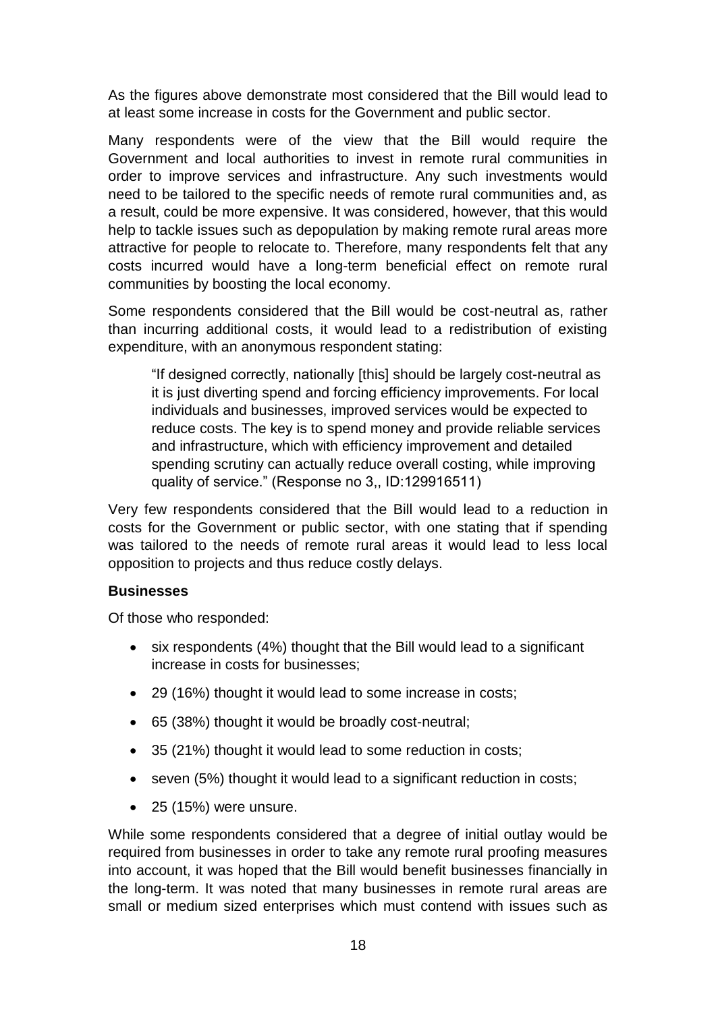As the figures above demonstrate most considered that the Bill would lead to at least some increase in costs for the Government and public sector.

Many respondents were of the view that the Bill would require the Government and local authorities to invest in remote rural communities in order to improve services and infrastructure. Any such investments would need to be tailored to the specific needs of remote rural communities and, as a result, could be more expensive. It was considered, however, that this would help to tackle issues such as depopulation by making remote rural areas more attractive for people to relocate to. Therefore, many respondents felt that any costs incurred would have a long-term beneficial effect on remote rural communities by boosting the local economy.

Some respondents considered that the Bill would be cost-neutral as, rather than incurring additional costs, it would lead to a redistribution of existing expenditure, with an anonymous respondent stating:

"If designed correctly, nationally [this] should be largely cost-neutral as it is just diverting spend and forcing efficiency improvements. For local individuals and businesses, improved services would be expected to reduce costs. The key is to spend money and provide reliable services and infrastructure, which with efficiency improvement and detailed spending scrutiny can actually reduce overall costing, while improving quality of service." (Response no 3,, ID:129916511)

Very few respondents considered that the Bill would lead to a reduction in costs for the Government or public sector, with one stating that if spending was tailored to the needs of remote rural areas it would lead to less local opposition to projects and thus reduce costly delays.

## **Businesses**

Of those who responded:

- six respondents (4%) thought that the Bill would lead to a significant increase in costs for businesses;
- 29 (16%) thought it would lead to some increase in costs;
- 65 (38%) thought it would be broadly cost-neutral;
- 35 (21%) thought it would lead to some reduction in costs;
- seven (5%) thought it would lead to a significant reduction in costs;
- $\bullet$  25 (15%) were unsure.

While some respondents considered that a degree of initial outlay would be required from businesses in order to take any remote rural proofing measures into account, it was hoped that the Bill would benefit businesses financially in the long-term. It was noted that many businesses in remote rural areas are small or medium sized enterprises which must contend with issues such as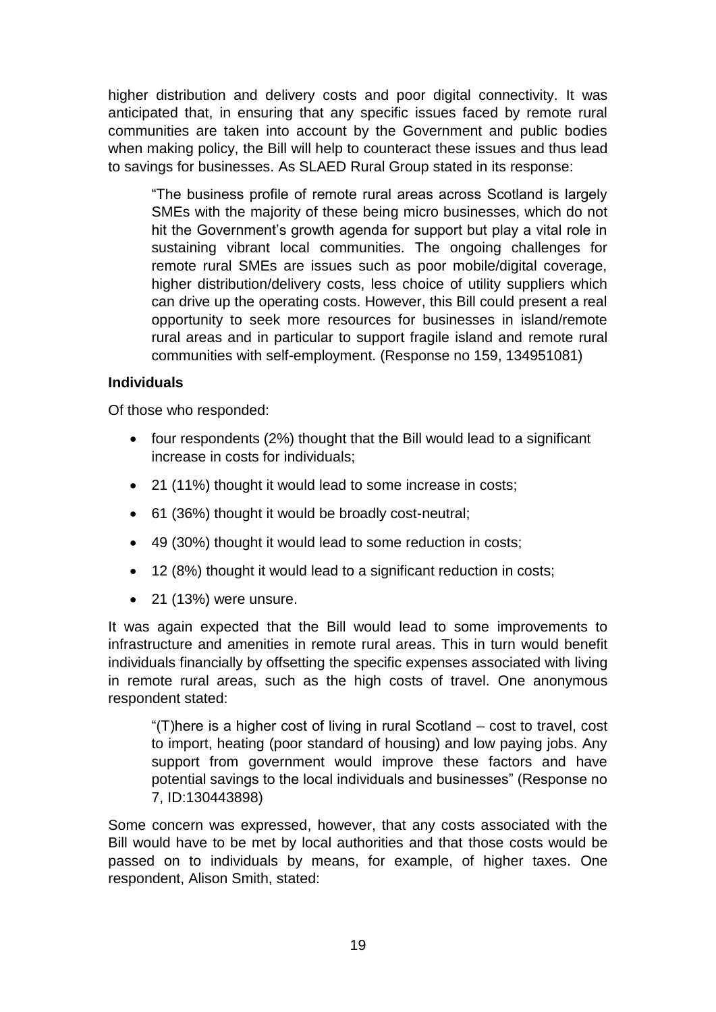higher distribution and delivery costs and poor digital connectivity. It was anticipated that, in ensuring that any specific issues faced by remote rural communities are taken into account by the Government and public bodies when making policy, the Bill will help to counteract these issues and thus lead to savings for businesses. As SLAED Rural Group stated in its response:

"The business profile of remote rural areas across Scotland is largely SMEs with the majority of these being micro businesses, which do not hit the Government's growth agenda for support but play a vital role in sustaining vibrant local communities. The ongoing challenges for remote rural SMEs are issues such as poor mobile/digital coverage, higher distribution/delivery costs, less choice of utility suppliers which can drive up the operating costs. However, this Bill could present a real opportunity to seek more resources for businesses in island/remote rural areas and in particular to support fragile island and remote rural communities with self-employment. (Response no 159, 134951081)

## **Individuals**

Of those who responded:

- four respondents (2%) thought that the Bill would lead to a significant increase in costs for individuals;
- 21 (11%) thought it would lead to some increase in costs;
- 61 (36%) thought it would be broadly cost-neutral;
- 49 (30%) thought it would lead to some reduction in costs;
- 12 (8%) thought it would lead to a significant reduction in costs;
- $\bullet$  21 (13%) were unsure.

It was again expected that the Bill would lead to some improvements to infrastructure and amenities in remote rural areas. This in turn would benefit individuals financially by offsetting the specific expenses associated with living in remote rural areas, such as the high costs of travel. One anonymous respondent stated:

"(T)here is a higher cost of living in rural Scotland – cost to travel, cost to import, heating (poor standard of housing) and low paying jobs. Any support from government would improve these factors and have potential savings to the local individuals and businesses" (Response no 7, ID:130443898)

Some concern was expressed, however, that any costs associated with the Bill would have to be met by local authorities and that those costs would be passed on to individuals by means, for example, of higher taxes. One respondent, Alison Smith, stated: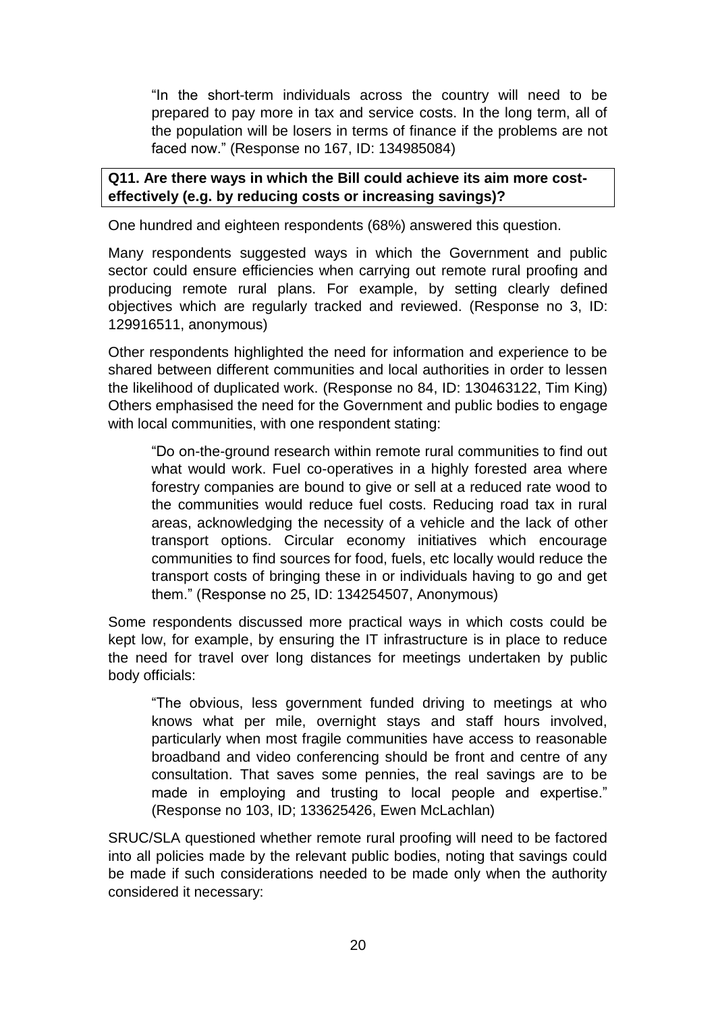"In the short-term individuals across the country will need to be prepared to pay more in tax and service costs. In the long term, all of the population will be losers in terms of finance if the problems are not faced now." (Response no 167, ID: 134985084)

## **Q11. Are there ways in which the Bill could achieve its aim more costeffectively (e.g. by reducing costs or increasing savings)?**

One hundred and eighteen respondents (68%) answered this question.

Many respondents suggested ways in which the Government and public sector could ensure efficiencies when carrying out remote rural proofing and producing remote rural plans. For example, by setting clearly defined objectives which are regularly tracked and reviewed. (Response no 3, ID: 129916511, anonymous)

Other respondents highlighted the need for information and experience to be shared between different communities and local authorities in order to lessen the likelihood of duplicated work. (Response no 84, ID: 130463122, Tim King) Others emphasised the need for the Government and public bodies to engage with local communities, with one respondent stating:

"Do on-the-ground research within remote rural communities to find out what would work. Fuel co-operatives in a highly forested area where forestry companies are bound to give or sell at a reduced rate wood to the communities would reduce fuel costs. Reducing road tax in rural areas, acknowledging the necessity of a vehicle and the lack of other transport options. Circular economy initiatives which encourage communities to find sources for food, fuels, etc locally would reduce the transport costs of bringing these in or individuals having to go and get them." (Response no 25, ID: 134254507, Anonymous)

Some respondents discussed more practical ways in which costs could be kept low, for example, by ensuring the IT infrastructure is in place to reduce the need for travel over long distances for meetings undertaken by public body officials:

"The obvious, less government funded driving to meetings at who knows what per mile, overnight stays and staff hours involved, particularly when most fragile communities have access to reasonable broadband and video conferencing should be front and centre of any consultation. That saves some pennies, the real savings are to be made in employing and trusting to local people and expertise." (Response no 103, ID; 133625426, Ewen McLachlan)

SRUC/SLA questioned whether remote rural proofing will need to be factored into all policies made by the relevant public bodies, noting that savings could be made if such considerations needed to be made only when the authority considered it necessary: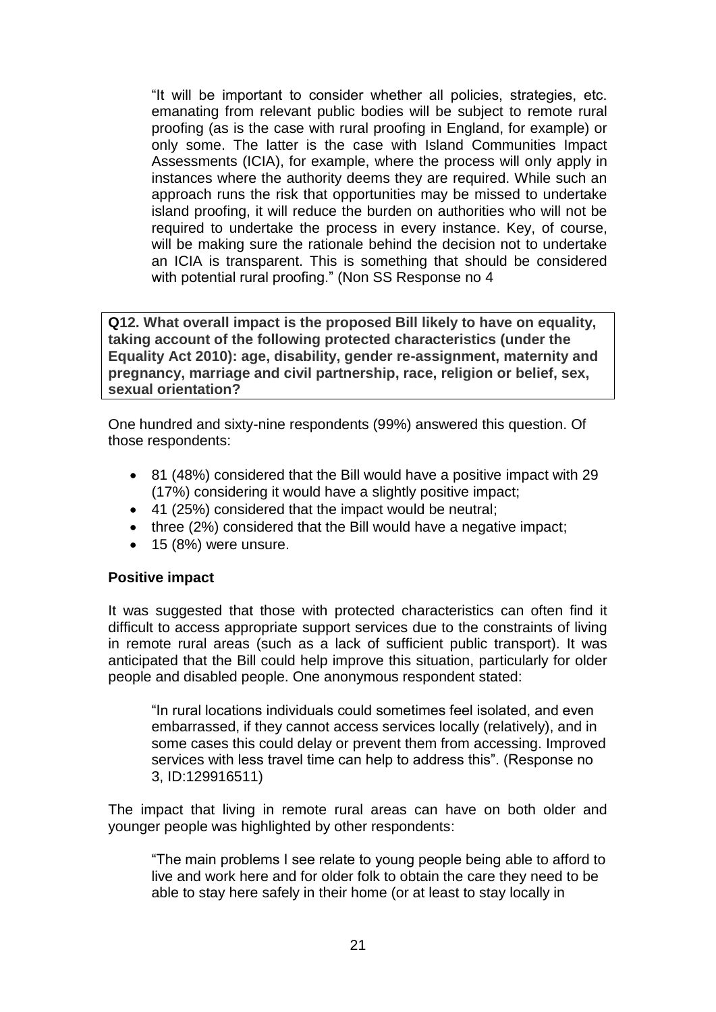"It will be important to consider whether all policies, strategies, etc. emanating from relevant public bodies will be subject to remote rural proofing (as is the case with rural proofing in England, for example) or only some. The latter is the case with Island Communities Impact Assessments (ICIA), for example, where the process will only apply in instances where the authority deems they are required. While such an approach runs the risk that opportunities may be missed to undertake island proofing, it will reduce the burden on authorities who will not be required to undertake the process in every instance. Key, of course, will be making sure the rationale behind the decision not to undertake an ICIA is transparent. This is something that should be considered with potential rural proofing." (Non SS Response no 4

**Q12. What overall impact is the proposed Bill likely to have on equality, taking account of the following protected characteristics (under the Equality Act 2010): age, disability, gender re-assignment, maternity and pregnancy, marriage and civil partnership, race, religion or belief, sex, sexual orientation?** 

One hundred and sixty-nine respondents (99%) answered this question. Of those respondents:

- 81 (48%) considered that the Bill would have a positive impact with 29 (17%) considering it would have a slightly positive impact;
- 41 (25%) considered that the impact would be neutral;
- three (2%) considered that the Bill would have a negative impact;
- 15 (8%) were unsure.

## **Positive impact**

It was suggested that those with protected characteristics can often find it difficult to access appropriate support services due to the constraints of living in remote rural areas (such as a lack of sufficient public transport). It was anticipated that the Bill could help improve this situation, particularly for older people and disabled people. One anonymous respondent stated:

"In rural locations individuals could sometimes feel isolated, and even embarrassed, if they cannot access services locally (relatively), and in some cases this could delay or prevent them from accessing. Improved services with less travel time can help to address this". (Response no 3, ID:129916511)

The impact that living in remote rural areas can have on both older and younger people was highlighted by other respondents:

"The main problems I see relate to young people being able to afford to live and work here and for older folk to obtain the care they need to be able to stay here safely in their home (or at least to stay locally in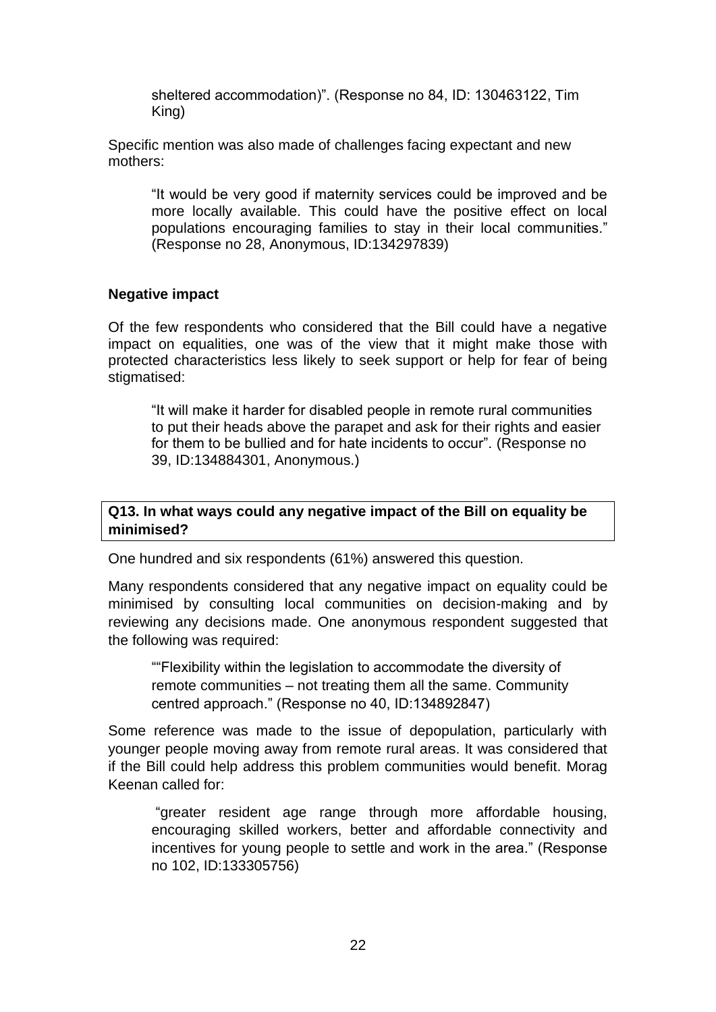sheltered accommodation)". (Response no 84, ID: 130463122, Tim King)

Specific mention was also made of challenges facing expectant and new mothers:

"It would be very good if maternity services could be improved and be more locally available. This could have the positive effect on local populations encouraging families to stay in their local communities." (Response no 28, Anonymous, ID:134297839)

#### **Negative impact**

Of the few respondents who considered that the Bill could have a negative impact on equalities, one was of the view that it might make those with protected characteristics less likely to seek support or help for fear of being stigmatised:

"It will make it harder for disabled people in remote rural communities to put their heads above the parapet and ask for their rights and easier for them to be bullied and for hate incidents to occur". (Response no 39, ID:134884301, Anonymous.)

## **Q13. In what ways could any negative impact of the Bill on equality be minimised?**

One hundred and six respondents (61%) answered this question.

Many respondents considered that any negative impact on equality could be minimised by consulting local communities on decision-making and by reviewing any decisions made. One anonymous respondent suggested that the following was required:

""Flexibility within the legislation to accommodate the diversity of remote communities – not treating them all the same. Community centred approach." (Response no 40, ID:134892847)

Some reference was made to the issue of depopulation, particularly with younger people moving away from remote rural areas. It was considered that if the Bill could help address this problem communities would benefit. Morag Keenan called for:

"greater resident age range through more affordable housing, encouraging skilled workers, better and affordable connectivity and incentives for young people to settle and work in the area." (Response no 102, ID:133305756)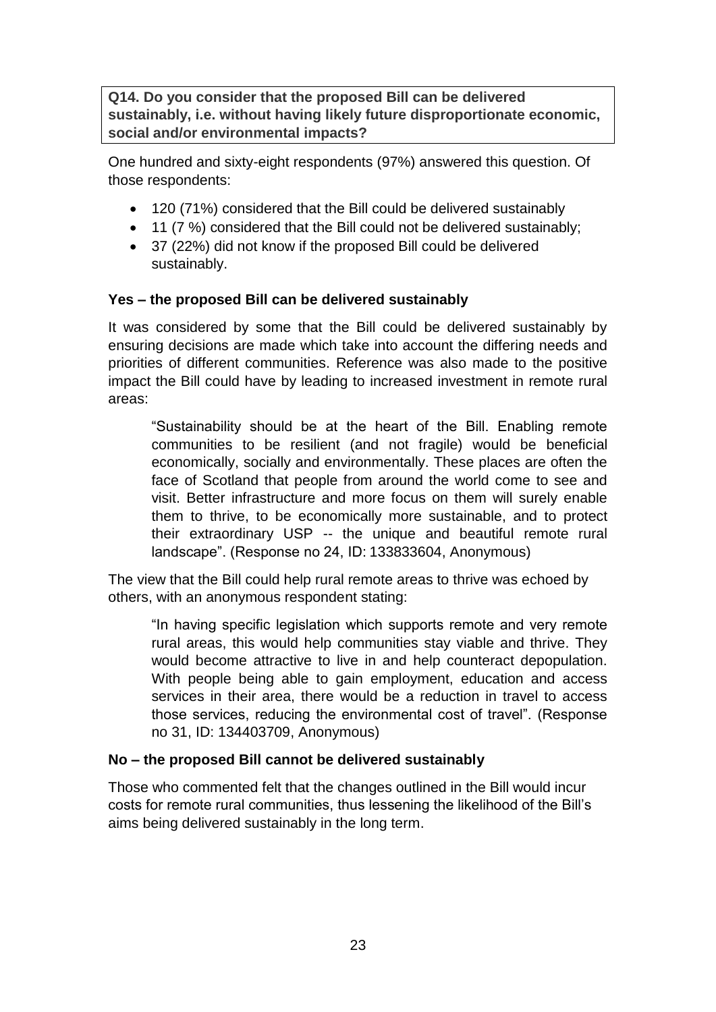**Q14. Do you consider that the proposed Bill can be delivered sustainably, i.e. without having likely future disproportionate economic, social and/or environmental impacts?**

One hundred and sixty-eight respondents (97%) answered this question. Of those respondents:

- 120 (71%) considered that the Bill could be delivered sustainably
- 11 (7 %) considered that the Bill could not be delivered sustainably;
- 37 (22%) did not know if the proposed Bill could be delivered sustainably.

## **Yes – the proposed Bill can be delivered sustainably**

It was considered by some that the Bill could be delivered sustainably by ensuring decisions are made which take into account the differing needs and priorities of different communities. Reference was also made to the positive impact the Bill could have by leading to increased investment in remote rural areas:

"Sustainability should be at the heart of the Bill. Enabling remote communities to be resilient (and not fragile) would be beneficial economically, socially and environmentally. These places are often the face of Scotland that people from around the world come to see and visit. Better infrastructure and more focus on them will surely enable them to thrive, to be economically more sustainable, and to protect their extraordinary USP -- the unique and beautiful remote rural landscape". (Response no 24, ID: 133833604, Anonymous)

The view that the Bill could help rural remote areas to thrive was echoed by others, with an anonymous respondent stating:

"In having specific legislation which supports remote and very remote rural areas, this would help communities stay viable and thrive. They would become attractive to live in and help counteract depopulation. With people being able to gain employment, education and access services in their area, there would be a reduction in travel to access those services, reducing the environmental cost of travel". (Response no 31, ID: 134403709, Anonymous)

## **No – the proposed Bill cannot be delivered sustainably**

Those who commented felt that the changes outlined in the Bill would incur costs for remote rural communities, thus lessening the likelihood of the Bill's aims being delivered sustainably in the long term.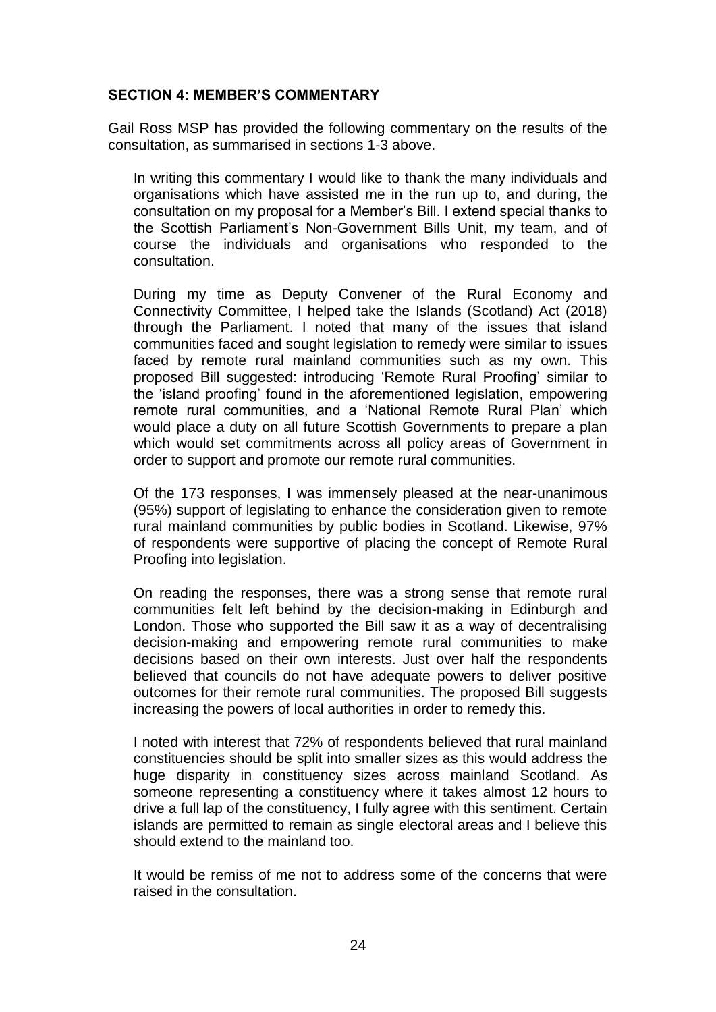## **SECTION 4: MEMBER'S COMMENTARY**

Gail Ross MSP has provided the following commentary on the results of the consultation, as summarised in sections 1-3 above.

In writing this commentary I would like to thank the many individuals and organisations which have assisted me in the run up to, and during, the consultation on my proposal for a Member's Bill. I extend special thanks to the Scottish Parliament's Non-Government Bills Unit, my team, and of course the individuals and organisations who responded to the consultation.

During my time as Deputy Convener of the Rural Economy and Connectivity Committee, I helped take the Islands (Scotland) Act (2018) through the Parliament. I noted that many of the issues that island communities faced and sought legislation to remedy were similar to issues faced by remote rural mainland communities such as my own. This proposed Bill suggested: introducing 'Remote Rural Proofing' similar to the 'island proofing' found in the aforementioned legislation, empowering remote rural communities, and a 'National Remote Rural Plan' which would place a duty on all future Scottish Governments to prepare a plan which would set commitments across all policy areas of Government in order to support and promote our remote rural communities.

Of the 173 responses, I was immensely pleased at the near-unanimous (95%) support of legislating to enhance the consideration given to remote rural mainland communities by public bodies in Scotland. Likewise, 97% of respondents were supportive of placing the concept of Remote Rural Proofing into legislation.

On reading the responses, there was a strong sense that remote rural communities felt left behind by the decision-making in Edinburgh and London. Those who supported the Bill saw it as a way of decentralising decision-making and empowering remote rural communities to make decisions based on their own interests. Just over half the respondents believed that councils do not have adequate powers to deliver positive outcomes for their remote rural communities. The proposed Bill suggests increasing the powers of local authorities in order to remedy this.

I noted with interest that 72% of respondents believed that rural mainland constituencies should be split into smaller sizes as this would address the huge disparity in constituency sizes across mainland Scotland. As someone representing a constituency where it takes almost 12 hours to drive a full lap of the constituency, I fully agree with this sentiment. Certain islands are permitted to remain as single electoral areas and I believe this should extend to the mainland too.

It would be remiss of me not to address some of the concerns that were raised in the consultation.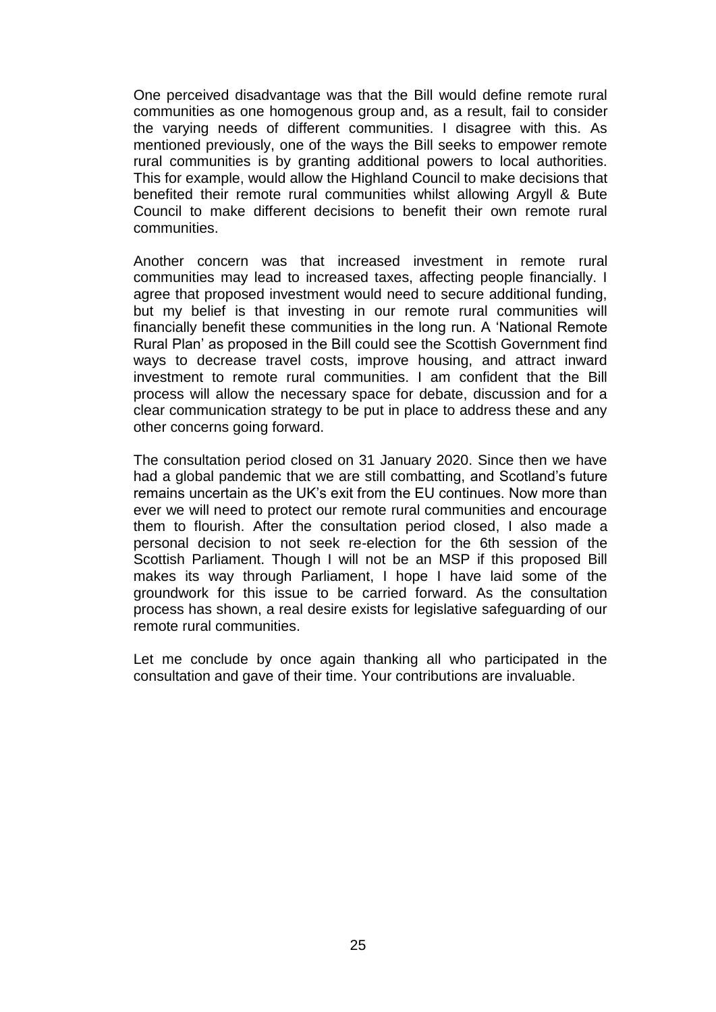One perceived disadvantage was that the Bill would define remote rural communities as one homogenous group and, as a result, fail to consider the varying needs of different communities. I disagree with this. As mentioned previously, one of the ways the Bill seeks to empower remote rural communities is by granting additional powers to local authorities. This for example, would allow the Highland Council to make decisions that benefited their remote rural communities whilst allowing Argyll & Bute Council to make different decisions to benefit their own remote rural communities.

Another concern was that increased investment in remote rural communities may lead to increased taxes, affecting people financially. I agree that proposed investment would need to secure additional funding, but my belief is that investing in our remote rural communities will financially benefit these communities in the long run. A 'National Remote Rural Plan' as proposed in the Bill could see the Scottish Government find ways to decrease travel costs, improve housing, and attract inward investment to remote rural communities. I am confident that the Bill process will allow the necessary space for debate, discussion and for a clear communication strategy to be put in place to address these and any other concerns going forward.

The consultation period closed on 31 January 2020. Since then we have had a global pandemic that we are still combatting, and Scotland's future remains uncertain as the UK's exit from the EU continues. Now more than ever we will need to protect our remote rural communities and encourage them to flourish. After the consultation period closed, I also made a personal decision to not seek re-election for the 6th session of the Scottish Parliament. Though I will not be an MSP if this proposed Bill makes its way through Parliament, I hope I have laid some of the groundwork for this issue to be carried forward. As the consultation process has shown, a real desire exists for legislative safeguarding of our remote rural communities.

Let me conclude by once again thanking all who participated in the consultation and gave of their time. Your contributions are invaluable.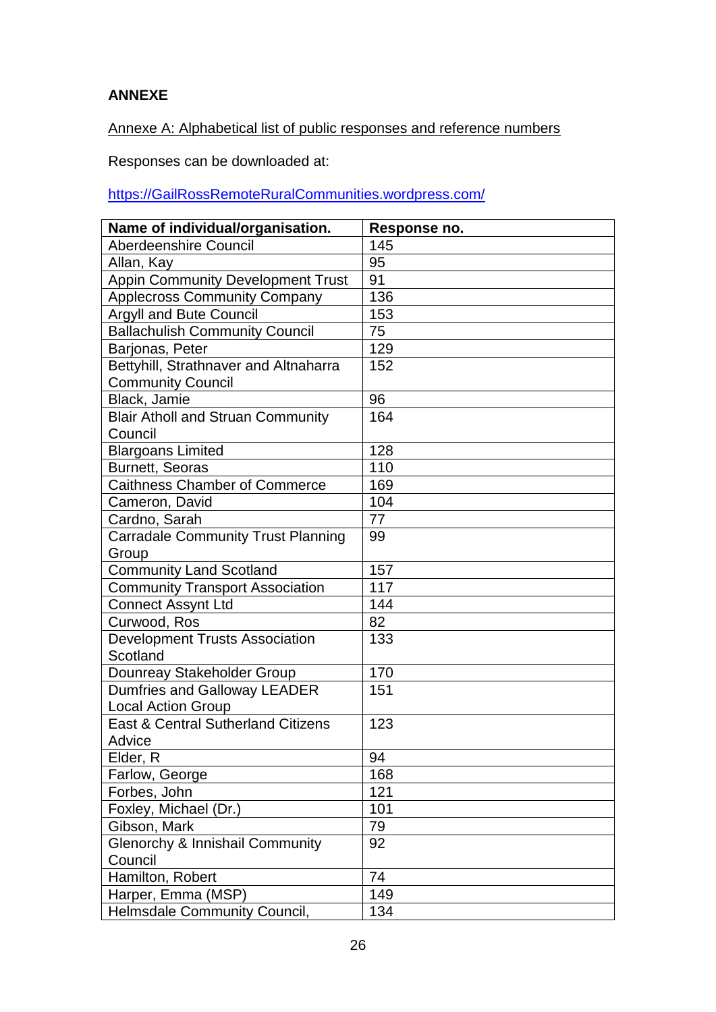# **ANNEXE**

Annexe A: Alphabetical list of public responses and reference numbers

Responses can be downloaded at:

[https://GailRossRemoteRuralCommunities.wordpress.com/](https://gailrossremoteruralcommunities.wordpress.com/)

| Name of individual/organisation.           | Response no. |
|--------------------------------------------|--------------|
| Aberdeenshire Council                      | 145          |
| Allan, Kay                                 | 95           |
| <b>Appin Community Development Trust</b>   | 91           |
| <b>Applecross Community Company</b>        | 136          |
| <b>Argyll and Bute Council</b>             | 153          |
| <b>Ballachulish Community Council</b>      | 75           |
| Barjonas, Peter                            | 129          |
| Bettyhill, Strathnaver and Altnaharra      | 152          |
| <b>Community Council</b>                   |              |
| Black, Jamie                               | 96           |
| <b>Blair Atholl and Struan Community</b>   | 164          |
| Council                                    |              |
| <b>Blargoans Limited</b>                   | 128          |
| <b>Burnett, Seoras</b>                     | 110          |
| <b>Caithness Chamber of Commerce</b>       | 169          |
| Cameron, David                             | 104          |
| Cardno, Sarah                              | 77           |
| <b>Carradale Community Trust Planning</b>  | 99           |
| Group                                      |              |
| <b>Community Land Scotland</b>             | 157          |
| <b>Community Transport Association</b>     | 117          |
| <b>Connect Assynt Ltd</b>                  | 144          |
| Curwood, Ros                               | 82           |
| <b>Development Trusts Association</b>      | 133          |
| Scotland                                   |              |
| Dounreay Stakeholder Group                 | 170          |
| Dumfries and Galloway LEADER               | 151          |
| <b>Local Action Group</b>                  |              |
| East & Central Sutherland Citizens         | 123          |
| Advice                                     |              |
| Elder, R                                   | 94           |
| Farlow, George                             | 168          |
| Forbes, John                               | 121          |
| Foxley, Michael (Dr.)                      | 101          |
| Gibson, Mark                               | 79           |
| <b>Glenorchy &amp; Innishail Community</b> | 92           |
| Council                                    |              |
| Hamilton, Robert                           | 74           |
| Harper, Emma (MSP)                         | 149          |
| <b>Helmsdale Community Council,</b>        | 134          |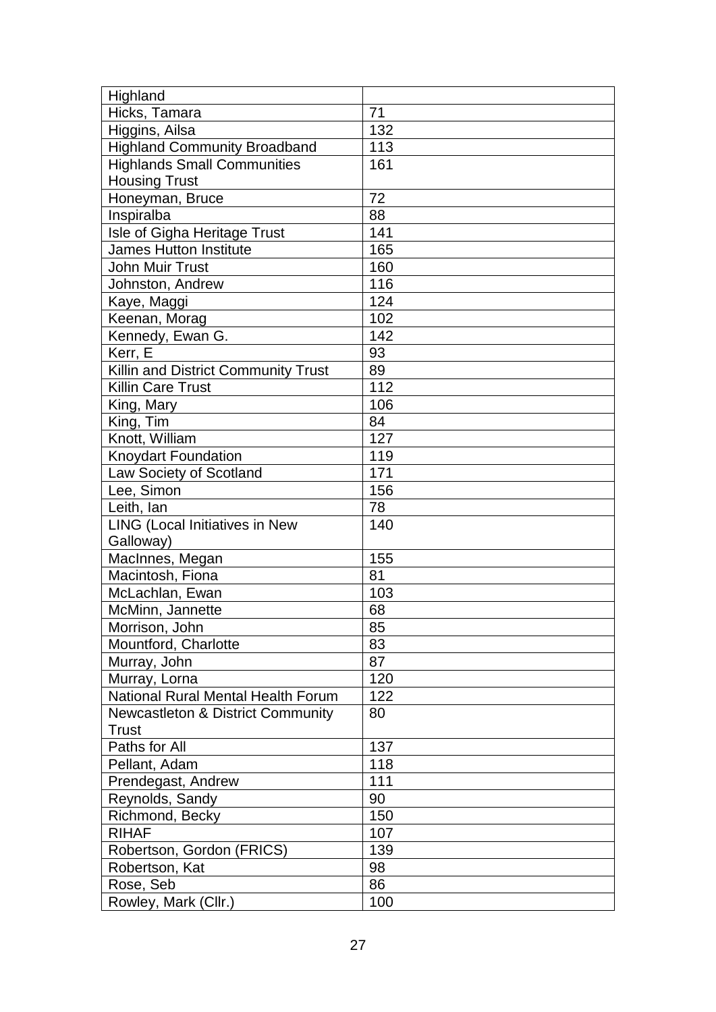| Highland                                     |     |
|----------------------------------------------|-----|
| Hicks, Tamara                                | 71  |
| Higgins, Ailsa                               | 132 |
| <b>Highland Community Broadband</b>          | 113 |
| <b>Highlands Small Communities</b>           | 161 |
| <b>Housing Trust</b>                         |     |
| Honeyman, Bruce                              | 72  |
| Inspiralba                                   | 88  |
| Isle of Gigha Heritage Trust                 | 141 |
| <b>James Hutton Institute</b>                | 165 |
| <b>John Muir Trust</b>                       | 160 |
| Johnston, Andrew                             | 116 |
| Kaye, Maggi                                  | 124 |
| Keenan, Morag                                | 102 |
| Kennedy, Ewan G.                             | 142 |
| Kerr, E                                      | 93  |
| Killin and District Community Trust          | 89  |
| <b>Killin Care Trust</b>                     | 112 |
| King, Mary                                   | 106 |
| King, Tim                                    | 84  |
| Knott, William                               | 127 |
| Knoydart Foundation                          | 119 |
| Law Society of Scotland                      | 171 |
| Lee, Simon                                   | 156 |
| Leith, lan                                   | 78  |
| LING (Local Initiatives in New               | 140 |
| Galloway)                                    |     |
| MacInnes, Megan                              | 155 |
| Macintosh, Fiona                             | 81  |
| McLachlan, Ewan                              | 103 |
| McMinn, Jannette                             | 68  |
| Morrison, John                               | 85  |
| Mountford, Charlotte                         | 83  |
| Murray, John                                 | 87  |
| Murray, Lorna                                | 120 |
| National Rural Mental Health Forum           | 122 |
| <b>Newcastleton &amp; District Community</b> | 80  |
| Trust                                        |     |
| Paths for All                                | 137 |
| Pellant, Adam                                | 118 |
| Prendegast, Andrew                           | 111 |
| Reynolds, Sandy                              | 90  |
| Richmond, Becky                              | 150 |
| <b>RIHAF</b>                                 | 107 |
| Robertson, Gordon (FRICS)                    | 139 |
| Robertson, Kat                               | 98  |
| Rose, Seb                                    | 86  |
| Rowley, Mark (Cllr.)                         | 100 |